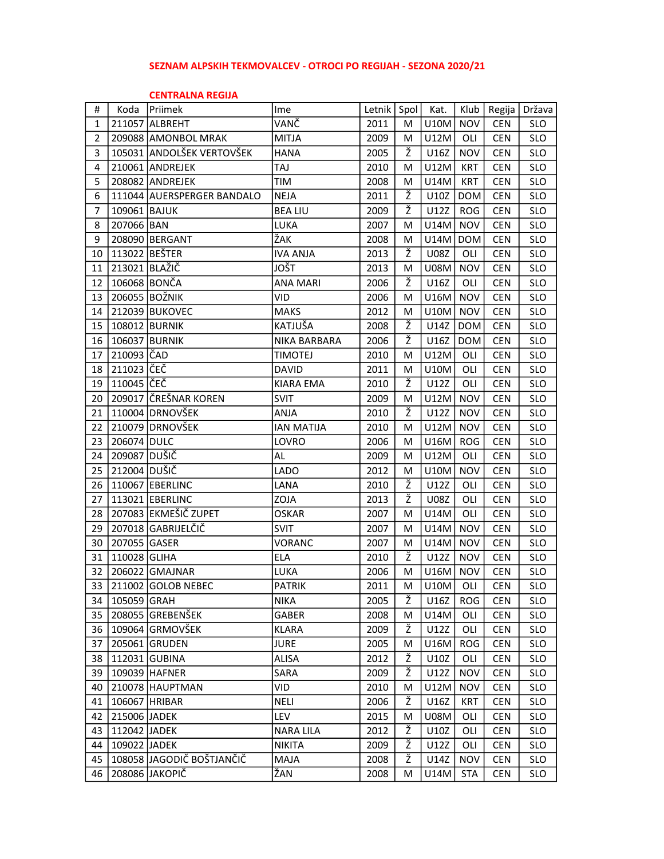## SEZNAM ALPSKIH TEKMOVALCEV - OTROCI PO REGIJAH - SEZONA 2020/21

## CENTRALNA REGIJA

| #              | Koda          | <b>Priimek</b>             | Ime               | Letnik   Spol |   | Kat.        | Klub       | Regija     | Država     |
|----------------|---------------|----------------------------|-------------------|---------------|---|-------------|------------|------------|------------|
| 1              |               | 211057 ALBREHT             | VANČ              | 2011          | M | <b>U10M</b> | <b>NOV</b> | <b>CEN</b> | <b>SLO</b> |
| $\overline{2}$ |               | 209088 AMONBOL MRAK        | <b>MITJA</b>      | 2009          | M | U12M        | OLI        | <b>CEN</b> | <b>SLO</b> |
| 3              |               | 105031 ANDOLŠEK VERTOVŠEK  | <b>HANA</b>       | 2005          | Ž | U16Z        | <b>NOV</b> | <b>CEN</b> | <b>SLO</b> |
| 4              |               | 210061 ANDREJEK            | TAJ               | 2010          | м | U12M        | <b>KRT</b> | <b>CEN</b> | <b>SLO</b> |
| 5              |               | 208082 ANDREJEK            | TIM               | 2008          | м | U14M        | <b>KRT</b> | <b>CEN</b> | <b>SLO</b> |
| 6              |               | 111044 AUERSPERGER BANDALO | <b>NEJA</b>       | 2011          | Ž | U10Z        | <b>DOM</b> | <b>CEN</b> | <b>SLO</b> |
| $\overline{7}$ | 109061 BAJUK  |                            | <b>BEA LIU</b>    | 2009          | ž | U12Z        | <b>ROG</b> | <b>CEN</b> | <b>SLO</b> |
| 8              | 207066 BAN    |                            | LUKA              | 2007          | м | U14M        | <b>NOV</b> | <b>CEN</b> | <b>SLO</b> |
| 9              |               | 208090 BERGANT             | ŽAK               | 2008          | M | U14M        | <b>DOM</b> | <b>CEN</b> | <b>SLO</b> |
| 10             | 113022 BEŠTER |                            | <b>IVA ANJA</b>   | 2013          | Ž | <b>U08Z</b> | OLI        | <b>CEN</b> | <b>SLO</b> |
| 11             | 213021 BLAŽIČ |                            | JOŠT              | 2013          | M | <b>U08M</b> | <b>NOV</b> | <b>CEN</b> | <b>SLO</b> |
| 12             | 106068 BONČA  |                            | <b>ANA MARI</b>   | 2006          | ž | U16Z        | OLI        | <b>CEN</b> | <b>SLO</b> |
| 13             |               | 206055 BOŽNIK              | VID               | 2006          | м | U16M        | <b>NOV</b> | <b>CEN</b> | <b>SLO</b> |
| 14             |               | 212039 BUKOVEC             | <b>MAKS</b>       | 2012          | M | U10M        | <b>NOV</b> | <b>CEN</b> | <b>SLO</b> |
| 15             |               | 108012 BURNIK              | KATJUŠA           | 2008          | Ž | U14Z        | <b>DOM</b> | <b>CEN</b> | <b>SLO</b> |
| 16             |               | 106037 BURNIK              | NIKA BARBARA      | 2006          | ž | U16Z        | <b>DOM</b> | <b>CEN</b> | <b>SLO</b> |
| 17             | 210093 ČAD    |                            | TIMOTEJ           | 2010          | м | U12M        | OLI        | <b>CEN</b> | <b>SLO</b> |
| 18             | 211023 ČEČ    |                            | <b>DAVID</b>      | 2011          | M | <b>U10M</b> | OLI        | <b>CEN</b> | <b>SLO</b> |
| 19             | 110045 ČEČ    |                            | KIARA EMA         | 2010          | Ž | U12Z        | OLI        | <b>CEN</b> | <b>SLO</b> |
| 20             |               | 209017 ČREŠNAR KOREN       | SVIT              | 2009          | M | U12M        | <b>NOV</b> | <b>CEN</b> | <b>SLO</b> |
| 21             |               | 110004 DRNOVŠEK            | ANJA              | 2010          | Ž | U12Z        | <b>NOV</b> | <b>CEN</b> | <b>SLO</b> |
| 22             |               | 210079 DRNOVŠEK            | <b>IAN MATIJA</b> | 2010          | M | U12M        | <b>NOV</b> | <b>CEN</b> | <b>SLO</b> |
| 23             | 206074 DULC   |                            | LOVRO             | 2006          | м | U16M        | <b>ROG</b> | <b>CEN</b> | <b>SLO</b> |
| 24             | 209087 DUŠIČ  |                            | AL                | 2009          | M | U12M        | OLI        | <b>CEN</b> | <b>SLO</b> |
| 25             | 212004 DUŠIČ  |                            | LADO              | 2012          | M | U10M        | <b>NOV</b> | <b>CEN</b> | <b>SLO</b> |
| 26             |               | 110067 EBERLINC            | LANA              | 2010          | ž | U12Z        | OLI        | <b>CEN</b> | <b>SLO</b> |
| 27             |               | 113021 EBERLINC            | ZOJA              | 2013          | Ž | <b>U08Z</b> | OLI        | <b>CEN</b> | <b>SLO</b> |
| 28             |               | 207083 EKMEŠIČ ZUPET       | <b>OSKAR</b>      | 2007          | м | U14M        | OLI        | <b>CEN</b> | <b>SLO</b> |
| 29             |               | 207018 GABRIJELČIČ         | <b>SVIT</b>       | 2007          | M | U14M        | <b>NOV</b> | <b>CEN</b> | <b>SLO</b> |
| 30             | 207055 GASER  |                            | <b>VORANC</b>     | 2007          | M | U14M        | <b>NOV</b> | <b>CEN</b> | <b>SLO</b> |
| 31             | 110028 GLIHA  |                            | <b>ELA</b>        | 2010          | Ž | U12Z        | <b>NOV</b> | <b>CEN</b> | <b>SLO</b> |
| 32             |               | 206022 GMAJNAR             | LUKA              | 2006          | M | U16M        | <b>NOV</b> | <b>CEN</b> | <b>SLO</b> |
|                |               | 33 211002 GOLOB NEBEC      | <b>PATRIK</b>     | 2011          | М | U10M        | OLI        | <b>CEN</b> | <b>SLO</b> |
| 34             | 105059 GRAH   |                            | NIKA              | 2005          | ž | U16Z        | ROG        | <b>CEN</b> | <b>SLO</b> |
| 35             |               | 208055 GREBENŠEK           | <b>GABER</b>      | 2008          | M | U14M        | OLI        | <b>CEN</b> | <b>SLO</b> |
| 36             |               | 109064 GRMOVŠEK            | <b>KLARA</b>      | 2009          | Ž | U12Z        | OLI        | <b>CEN</b> | <b>SLO</b> |
| 37             |               | 205061 GRUDEN              | <b>JURE</b>       | 2005          | М | U16M        | <b>ROG</b> | <b>CEN</b> | <b>SLO</b> |
| 38             |               | 112031 GUBINA              | ALISA             | 2012          | Ž | U10Z        | OLI        | <b>CEN</b> | <b>SLO</b> |
| 39             |               | 109039 HAFNER              | SARA              | 2009          | ž | U12Z        | <b>NOV</b> | <b>CEN</b> | <b>SLO</b> |
| 40             |               | 210078 HAUPTMAN            | VID               | 2010          | M | U12M        | <b>NOV</b> | <b>CEN</b> | <b>SLO</b> |
| 41             | 106067 HRIBAR |                            | <b>NELI</b>       | 2006          | ž | U16Z        | <b>KRT</b> | <b>CEN</b> | SLO        |
| 42             | 215006 JADEK  |                            | LEV.              | 2015          | M | <b>U08M</b> | OLI        | <b>CEN</b> | <b>SLO</b> |
| 43             | 112042 JADEK  |                            | <b>NARA LILA</b>  | 2012          | Ž | U10Z        | OLI        | <b>CEN</b> | <b>SLO</b> |
| 44             | 109022 JADEK  |                            | <b>NIKITA</b>     | 2009          | Ž | U12Z        | OLI        | <b>CEN</b> | <b>SLO</b> |
| 45             |               | 108058 JAGODIČ BOŠTJANČIČ  | MAJA              | 2008          | Ž | U14Z        | <b>NOV</b> | <b>CEN</b> | <b>SLO</b> |
| 46             |               | 208086 JAKOPIČ             | ŽAN               | 2008          | М | U14M        | <b>STA</b> | <b>CEN</b> | <b>SLO</b> |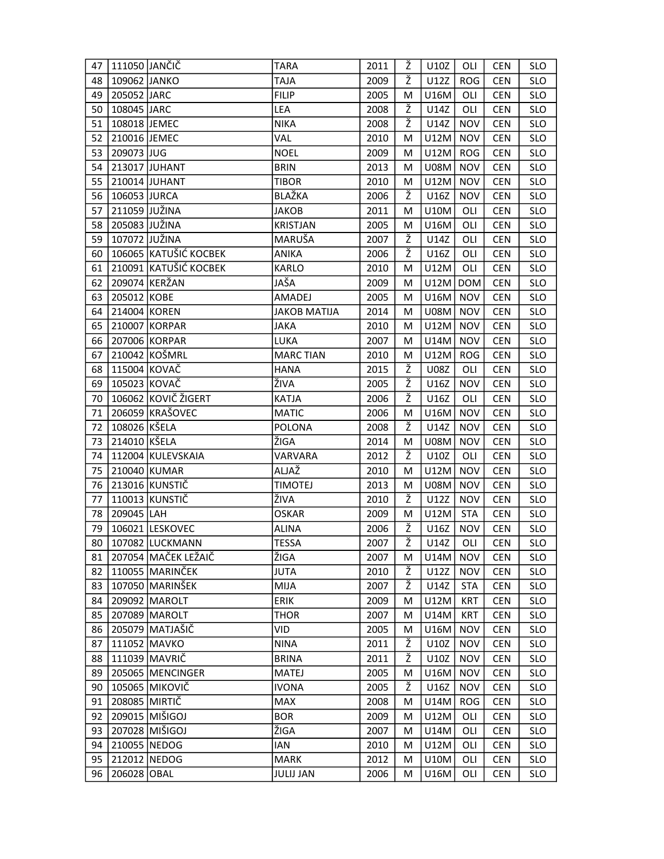| 47 | 111050 JANČIČ |                       | <b>TARA</b>         | 2011 | Ž | U10Z        | OLI        | <b>CEN</b> | <b>SLO</b> |
|----|---------------|-----------------------|---------------------|------|---|-------------|------------|------------|------------|
| 48 | 109062 JANKO  |                       | <b>TAJA</b>         | 2009 | Ž | U12Z        | <b>ROG</b> | <b>CEN</b> | <b>SLO</b> |
| 49 | 205052 JARC   |                       | <b>FILIP</b>        | 2005 | M | U16M        | OLI        | <b>CEN</b> | <b>SLO</b> |
| 50 | 108045 JARC   |                       | LEA                 | 2008 | Ž | U14Z        | OLI        | <b>CEN</b> | <b>SLO</b> |
| 51 | 108018 JEMEC  |                       | <b>NIKA</b>         | 2008 | ž | U14Z        | <b>NOV</b> | <b>CEN</b> | <b>SLO</b> |
| 52 | 210016 JEMEC  |                       | <b>VAL</b>          | 2010 | М | U12M        | <b>NOV</b> | <b>CEN</b> | <b>SLO</b> |
| 53 | 209073 JUG    |                       | <b>NOEL</b>         | 2009 | м | U12M        | <b>ROG</b> | <b>CEN</b> | <b>SLO</b> |
| 54 |               | 213017 JUHANT         | <b>BRIN</b>         | 2013 | M | <b>U08M</b> | <b>NOV</b> | <b>CEN</b> | <b>SLO</b> |
| 55 |               | 210014 JUHANT         | <b>TIBOR</b>        | 2010 | M | <b>U12M</b> | <b>NOV</b> | <b>CEN</b> | <b>SLO</b> |
| 56 | 106053 JURCA  |                       | BLAŽKA              | 2006 | Ž | U16Z        | <b>NOV</b> | <b>CEN</b> | <b>SLO</b> |
| 57 | 211059 JUŽINA |                       | <b>JAKOB</b>        | 2011 | м | U10M        | OLI        | <b>CEN</b> | <b>SLO</b> |
| 58 | 205083 JUŽINA |                       | <b>KRISTJAN</b>     | 2005 | M | U16M        | OLI        | <b>CEN</b> | <b>SLO</b> |
| 59 | 107072 JUŽINA |                       | MARUŠA              | 2007 | ž | U14Z        | OLI        | <b>CEN</b> | <b>SLO</b> |
| 60 |               | 106065 KATUŠIĆ KOCBEK | <b>ANIKA</b>        | 2006 | ž | U16Z        | OLI        | <b>CEN</b> | SLO        |
| 61 |               | 210091 KATUŠIĆ KOCBEK | KARLO               | 2010 | M | U12M        | OLI        | <b>CEN</b> | <b>SLO</b> |
| 62 |               | 209074 KERŽAN         | JAŠA                | 2009 | м | U12M        | <b>DOM</b> | <b>CEN</b> | <b>SLO</b> |
| 63 | 205012 KOBE   |                       | AMADEJ              | 2005 | M | U16M        | <b>NOV</b> | <b>CEN</b> | <b>SLO</b> |
| 64 | 214004 KOREN  |                       | <b>JAKOB MATIJA</b> | 2014 | м | <b>U08M</b> | <b>NOV</b> | <b>CEN</b> | <b>SLO</b> |
| 65 |               | 210007 KORPAR         | <b>JAKA</b>         | 2010 | м | U12M        | <b>NOV</b> | <b>CEN</b> | <b>SLO</b> |
| 66 |               | 207006 KORPAR         | LUKA                | 2007 | м | U14M        | <b>NOV</b> | <b>CEN</b> | <b>SLO</b> |
| 67 |               | 210042 KOŠMRL         | <b>MARC TIAN</b>    | 2010 | M | U12M        | <b>ROG</b> | <b>CEN</b> | <b>SLO</b> |
| 68 | 115004 KOVAČ  |                       | <b>HANA</b>         | 2015 | ž | <b>U08Z</b> | OLI        | <b>CEN</b> | <b>SLO</b> |
| 69 | 105023 KOVAČ  |                       | ŽIVA                | 2005 | Ž | U16Z        | <b>NOV</b> | <b>CEN</b> | <b>SLO</b> |
| 70 |               | 106062 KOVIČ ŽIGERT   | KATJA               | 2006 | ž | U16Z        | OLI        | <b>CEN</b> | <b>SLO</b> |
| 71 |               | 206059 KRAŠOVEC       | <b>MATIC</b>        | 2006 | м | U16M        | <b>NOV</b> | <b>CEN</b> | <b>SLO</b> |
| 72 | 108026 KŠELA  |                       | POLONA              | 2008 | Ž | U14Z        | <b>NOV</b> | <b>CEN</b> | <b>SLO</b> |
| 73 | 214010 KŠELA  |                       | ŽIGA                | 2014 | M | <b>U08M</b> | <b>NOV</b> | <b>CEN</b> | <b>SLO</b> |
| 74 |               | 112004 KULEVSKAIA     | VARVARA             | 2012 | ž | U10Z        | OLI        | <b>CEN</b> | <b>SLO</b> |
| 75 |               | 210040 KUMAR          | ALJAŽ               | 2010 | м | U12M        | <b>NOV</b> | <b>CEN</b> | <b>SLO</b> |
| 76 |               | 213016 KUNSTIČ        | <b>TIMOTEJ</b>      | 2013 | М | <b>U08M</b> | <b>NOV</b> | <b>CEN</b> | <b>SLO</b> |
| 77 |               | 110013 KUNSTIČ        | ŽIVA                | 2010 | Ž | U12Z        | <b>NOV</b> | <b>CEN</b> | <b>SLO</b> |
| 78 | 209045 LAH    |                       | <b>OSKAR</b>        | 2009 | м | U12M        | <b>STA</b> | <b>CEN</b> | <b>SLO</b> |
| 79 |               | 106021 LESKOVEC       | <b>ALINA</b>        | 2006 | Ž | U16Z        | <b>NOV</b> | <b>CEN</b> | <b>SLO</b> |
| 80 |               | 107082 LUCKMANN       | <b>TESSA</b>        | 2007 | ž | U14Z        | OLI I      | <b>CEN</b> | <b>SLO</b> |
| 81 |               | 207054 MAČEK LEŽAIČ   | ŽIGA                | 2007 | M | U14M        | NOV        | <b>CEN</b> | <b>SLO</b> |
| 82 |               | 110055 MARINČEK       | <b>JUTA</b>         | 2010 | Ž | U12Z        | <b>NOV</b> | <b>CEN</b> | <b>SLO</b> |
| 83 |               | 107050 MARINŠEK       | <b>MIJA</b>         | 2007 | Ž | U14Z        | <b>STA</b> | <b>CEN</b> | <b>SLO</b> |
| 84 |               | 209092 MAROLT         | ERIK                | 2009 | м | U12M        | <b>KRT</b> | <b>CEN</b> | <b>SLO</b> |
| 85 |               | 207089 MAROLT         | <b>THOR</b>         | 2007 | М | U14M        | <b>KRT</b> | <b>CEN</b> | <b>SLO</b> |
| 86 |               | 205079 MATJAŠIČ       | VID                 | 2005 | М | U16M        | <b>NOV</b> | <b>CEN</b> | <b>SLO</b> |
| 87 |               | 111052 MAVKO          | <b>NINA</b>         | 2011 | Ž | U10Z        | <b>NOV</b> | <b>CEN</b> | <b>SLO</b> |
| 88 |               | 111039 MAVRIČ         | <b>BRINA</b>        | 2011 | Ž | U10Z        | <b>NOV</b> | <b>CEN</b> | <b>SLO</b> |
| 89 |               | 205065 MENCINGER      | <b>MATEJ</b>        | 2005 | М | U16M        | <b>NOV</b> | <b>CEN</b> | <b>SLO</b> |
| 90 |               | 105065 MIKOVIČ        | <b>IVONA</b>        | 2005 | Ž | U16Z        | <b>NOV</b> | <b>CEN</b> | <b>SLO</b> |
| 91 | 208085 MIRTIČ |                       | <b>MAX</b>          | 2008 | М | U14M        | <b>ROG</b> | <b>CEN</b> | <b>SLO</b> |
| 92 |               | 209015 MIŠIGOJ        | <b>BOR</b>          | 2009 | м | U12M        | OLI        | <b>CEN</b> | <b>SLO</b> |
| 93 |               | 207028 MIŠIGOJ        | ŽIGA                | 2007 | М | U14M        | OLI        | <b>CEN</b> | <b>SLO</b> |
| 94 | 210055 NEDOG  |                       | <b>IAN</b>          | 2010 | М | U12M        | OLI        | <b>CEN</b> | <b>SLO</b> |
| 95 | 212012 NEDOG  |                       | MARK                | 2012 | М | U10M        | OLI        | <b>CEN</b> | <b>SLO</b> |
| 96 | 206028 OBAL   |                       | <b>JULIJ JAN</b>    | 2006 | M | U16M        | OLI        | <b>CEN</b> | <b>SLO</b> |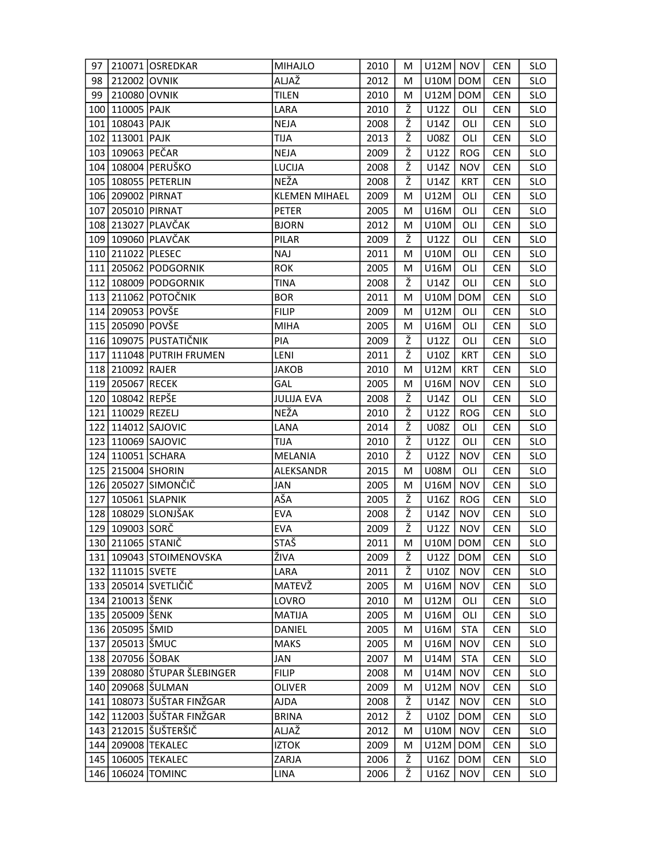| 97  |                      | 210071 OSREDKAR                 | <b>MIHAJLO</b>       | 2010 | М | $U12M$ NOV  |            | <b>CEN</b> | <b>SLO</b> |
|-----|----------------------|---------------------------------|----------------------|------|---|-------------|------------|------------|------------|
| 98  | 212002 OVNIK         |                                 | ALJAŽ                | 2012 | М | U10M        | <b>DOM</b> | <b>CEN</b> | <b>SLO</b> |
| 99  | 210080 OVNIK         |                                 | <b>TILEN</b>         | 2010 | М | U12M        | <b>DOM</b> | <b>CEN</b> | <b>SLO</b> |
| 100 | 110005 PAJK          |                                 | LARA                 | 2010 | Ž | U12Z        | OLI        | <b>CEN</b> | <b>SLO</b> |
| 101 | 108043   PAJK        |                                 | <b>NEJA</b>          | 2008 | ž | U14Z        | OLI        | <b>CEN</b> | <b>SLO</b> |
| 102 | 113001 PAJK          |                                 | <b>TIJA</b>          | 2013 | Ž | <b>U08Z</b> | OLI        | <b>CEN</b> | <b>SLO</b> |
|     | 103   109063   PEČAR |                                 | <b>NEJA</b>          | 2009 | ž | U12Z        | <b>ROG</b> | <b>CEN</b> | <b>SLO</b> |
|     |                      | 104 108004 PERUŠKO              | LUCIJA               | 2008 | Ž | U14Z        | <b>NOV</b> | <b>CEN</b> | <b>SLO</b> |
|     |                      | 105   108055   PETERLIN         | <b>NEŽA</b>          | 2008 | ž | U14Z        | <b>KRT</b> | <b>CEN</b> | <b>SLO</b> |
|     | 106 209002 PIRNAT    |                                 | <b>KLEMEN MIHAEL</b> | 2009 | м | U12M        | OLI        | <b>CEN</b> | <b>SLO</b> |
|     | 107 205010 PIRNAT    |                                 | <b>PETER</b>         | 2005 | м | U16M        | OLI        | <b>CEN</b> | <b>SLO</b> |
|     |                      | 108 213027 PLAVČAK              | <b>BJORN</b>         | 2012 | М | <b>U10M</b> | OLI        | <b>CEN</b> | <b>SLO</b> |
| 109 |                      | 109060 PLAVČAK                  | PILAR                | 2009 | ž | U12Z        | OLI        | <b>CEN</b> | <b>SLO</b> |
| 110 | 211022 PLESEC        |                                 | <b>NAJ</b>           | 2011 | м | <b>U10M</b> | OLI        | <b>CEN</b> | <b>SLO</b> |
| 111 |                      | 205062 PODGORNIK                | <b>ROK</b>           | 2005 | M | <b>U16M</b> | OLI        | <b>CEN</b> | <b>SLO</b> |
|     |                      | 112 108009 PODGORNIK            | <b>TINA</b>          | 2008 | ž | U14Z        | OLI        | <b>CEN</b> | <b>SLO</b> |
|     |                      | 113 211062 POTOČNIK             | <b>BOR</b>           | 2011 | М | U10M        | <b>DOM</b> | <b>CEN</b> | <b>SLO</b> |
|     | 114 209053 POVŠE     |                                 | <b>FILIP</b>         | 2009 | M | U12M        | OLI        | <b>CEN</b> | <b>SLO</b> |
|     | 115 205090 POVŠE     |                                 | <b>MIHA</b>          | 2005 | м | U16M        | OLI        | <b>CEN</b> | <b>SLO</b> |
|     |                      | 116   109075   PUSTATIČNIK      | PIA                  | 2009 | ž | U12Z        | OLI        | <b>CEN</b> | <b>SLO</b> |
| 117 |                      | 111048 PUTRIH FRUMEN            | LENI                 | 2011 | Ž | U10Z        | <b>KRT</b> | <b>CEN</b> | <b>SLO</b> |
|     | 118 210092 RAJER     |                                 | <b>JAKOB</b>         | 2010 | М | U12M        | <b>KRT</b> | <b>CEN</b> | <b>SLO</b> |
|     | 119 205067 RECEK     |                                 | GAL                  | 2005 | м | U16M        | <b>NOV</b> | <b>CEN</b> | <b>SLO</b> |
|     | 120 108042 REPŠE     |                                 | <b>JULIJA EVA</b>    | 2008 | Ž | U14Z        | OLI        | <b>CEN</b> | <b>SLO</b> |
|     | 121 110029 REZELJ    |                                 | NEŽA                 | 2010 | Ž | U12Z        | <b>ROG</b> | <b>CEN</b> | <b>SLO</b> |
| 122 |                      | 114012 SAJOVIC                  | LANA                 | 2014 | ž | <b>U08Z</b> | OLI        | <b>CEN</b> | <b>SLO</b> |
|     |                      | 123 110069 SAJOVIC              | <b>TIJA</b>          | 2010 | Ž | U12Z        | OLI        | <b>CEN</b> | <b>SLO</b> |
|     |                      | 124 110051 SCHARA               | MELANIA              | 2010 | ž | U12Z        | <b>NOV</b> | <b>CEN</b> | <b>SLO</b> |
| 125 | 215004 SHORIN        |                                 | ALEKSANDR            | 2015 | M | <b>U08M</b> | OLI        | <b>CEN</b> | <b>SLO</b> |
|     |                      | 126   205027   SIMONČIČ         | <b>JAN</b>           | 2005 | M | U16M        | <b>NOV</b> | <b>CEN</b> | <b>SLO</b> |
| 127 |                      | 105061 SLAPNIK                  | AŠA                  | 2005 | Ž | U16Z        | <b>ROG</b> | <b>CEN</b> | <b>SLO</b> |
|     |                      | 128 108029 SLONJŠAK             | <b>EVA</b>           | 2008 | Ž | U14Z        | <b>NOV</b> | <b>CEN</b> | <b>SLO</b> |
|     | 129 109003 SORČ      |                                 | <b>EVA</b>           | 2009 | Ž | U12Z        | <b>NOV</b> | <b>CEN</b> | <b>SLO</b> |
|     | 130 211065 STANIČ    |                                 | <b>STAŠ</b>          | 2011 | M | U10M        | DOM        | <b>CEN</b> | <b>SLO</b> |
|     |                      | 131 109043 STOIMENOVSKA         | ŽIVA                 | 2009 | Ž | U12Z        | <b>DOM</b> | <b>CEN</b> | <b>SLO</b> |
|     | 132 111015 SVETE     |                                 | LARA                 | 2011 | Ž | U10Z        | <b>NOV</b> | <b>CEN</b> | <b>SLO</b> |
|     |                      | 133   205014 SVETLIČIČ          | MATEVŽ               | 2005 | м | U16M        | <b>NOV</b> | <b>CEN</b> | <b>SLO</b> |
|     | 134 210013 ŠENK      |                                 | LOVRO                | 2010 | М | U12M        | OLI        | <b>CEN</b> | <b>SLO</b> |
|     | 135   205009   ŠENK  |                                 | <b>MATIJA</b>        | 2005 | M | U16M        | OLI        | <b>CEN</b> | <b>SLO</b> |
|     | 136 205095 ŠMID      |                                 | <b>DANIEL</b>        | 2005 | М | U16M        | <b>STA</b> | <b>CEN</b> | <b>SLO</b> |
| 137 | 205013 ŠMUC          |                                 | <b>MAKS</b>          | 2005 | м | U16M        | <b>NOV</b> | <b>CEN</b> | <b>SLO</b> |
|     | 138 207056 ŠOBAK     |                                 | JAN                  | 2007 | M | U14M        | <b>STA</b> | <b>CEN</b> | <b>SLO</b> |
|     |                      | 139   208080   ŠTUPAR ŠLEBINGER | <b>FILIP</b>         | 2008 | М | U14M        | <b>NOV</b> | <b>CEN</b> | <b>SLO</b> |
|     |                      | 140   209068   ŠULMAN           | OLIVER               | 2009 | М | U12M        | <b>NOV</b> | <b>CEN</b> | <b>SLO</b> |
|     |                      | 141   108073   ŠUŠTAR FINŽGAR   | AJDA                 | 2008 | ž | U14Z        | <b>NOV</b> | <b>CEN</b> | <b>SLO</b> |
|     |                      | 142   112003   ŠUŠTAR FINŽGAR   | <b>BRINA</b>         | 2012 | Ž | U10Z        | <b>DOM</b> | <b>CEN</b> | <b>SLO</b> |
|     |                      | 143   212015   ŠUŠTERŠIČ        | ALJAŽ                | 2012 | М | U10M        | <b>NOV</b> | <b>CEN</b> | <b>SLO</b> |
|     |                      | 144 209008 TEKALEC              | <b>IZTOK</b>         | 2009 | М | U12M        | <b>DOM</b> | <b>CEN</b> | <b>SLO</b> |
|     |                      | 145   106005   TEKALEC          | ZARJA                | 2006 | Ž | U16Z        | <b>DOM</b> | <b>CEN</b> | <b>SLO</b> |
|     |                      | 146 106024 TOMINC               | LINA                 | 2006 | Ž | U16Z        | <b>NOV</b> | <b>CEN</b> | <b>SLO</b> |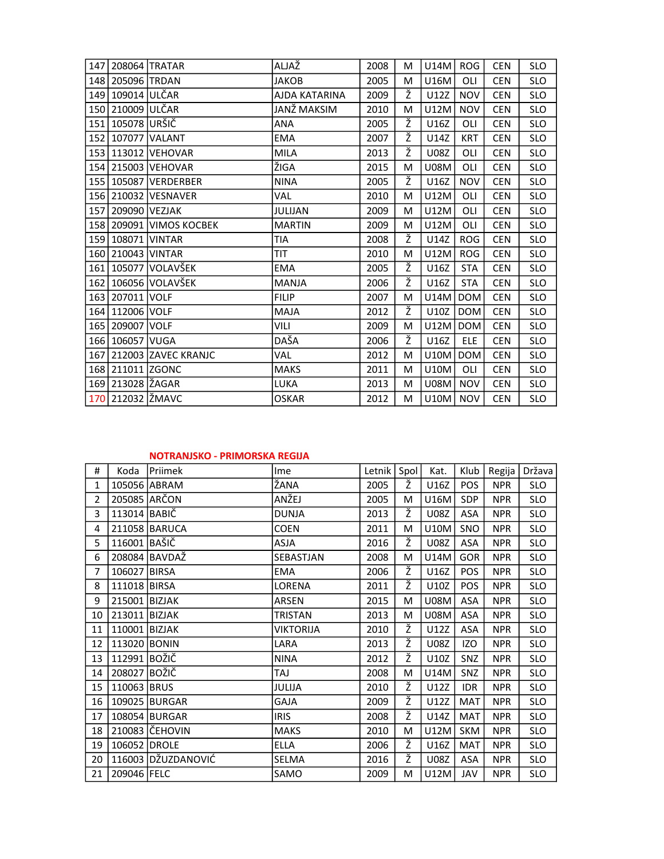| 147 |                   | 208064 TRATAR           | ALJAŽ          | 2008 | м | U14M        | <b>ROG</b> | <b>CEN</b> | <b>SLO</b> |
|-----|-------------------|-------------------------|----------------|------|---|-------------|------------|------------|------------|
|     | 148 205096 TRDAN  |                         | <b>JAKOB</b>   | 2005 | M | <b>U16M</b> | OLI        | <b>CEN</b> | <b>SLO</b> |
|     | 149 109014 ULČAR  |                         | AJDA KATARINA  | 2009 | Ž | U12Z        | <b>NOV</b> | <b>CEN</b> | <b>SLO</b> |
| 150 | 210009 ULČAR      |                         | JANŽ MAKSIM    | 2010 | M | <b>U12M</b> | <b>NOV</b> | <b>CEN</b> | <b>SLO</b> |
| 151 | 105078 URŠIČ      |                         | ANA            | 2005 | ž | U16Z        | OLI        | <b>CEN</b> | <b>SLO</b> |
|     |                   | 152 107077 VALANT       | <b>EMA</b>     | 2007 | ž | U14Z        | <b>KRT</b> | <b>CEN</b> | <b>SLO</b> |
|     |                   | 153 113012 VEHOVAR      | <b>MILA</b>    | 2013 | ž | <b>U08Z</b> | OLI        | <b>CEN</b> | <b>SLO</b> |
|     |                   | 154 215003 VEHOVAR      | ŽIGA           | 2015 | M | <b>U08M</b> | OLI        | <b>CEN</b> | <b>SLO</b> |
|     |                   | 155 105087 VERDERBER    | <b>NINA</b>    | 2005 | Ž | U16Z        | <b>NOV</b> | <b>CEN</b> | <b>SLO</b> |
|     |                   | 156 210032 VESNAVER     | VAL            | 2010 | М | U12M        | OLI        | <b>CEN</b> | <b>SLO</b> |
| 157 | 209090 VEZJAK     |                         | <b>JULIJAN</b> | 2009 | М | U12M        | OLI        | <b>CEN</b> | <b>SLO</b> |
|     |                   | 158 209091 VIMOS KOCBEK | <b>MARTIN</b>  | 2009 | M | U12M        | OLI        | <b>CEN</b> | <b>SLO</b> |
|     | 159 108071 VINTAR |                         | TIA            | 2008 | Ž | U14Z        | <b>ROG</b> | <b>CEN</b> | <b>SLO</b> |
|     | 160 210043 VINTAR |                         | TIT            | 2010 | M | U12M        | <b>ROG</b> | <b>CEN</b> | <b>SLO</b> |
|     |                   | 161   105077   VOLAVŠEK | <b>EMA</b>     | 2005 | Ž | U16Z        | <b>STA</b> | <b>CEN</b> | <b>SLO</b> |
| 162 |                   | 106056 VOLAVŠEK         | <b>MANJA</b>   | 2006 | ž | U16Z        | <b>STA</b> | <b>CEN</b> | <b>SLO</b> |
|     | 163 207011 VOLF   |                         | <b>FILIP</b>   | 2007 | M | <b>U14M</b> | <b>DOM</b> | <b>CEN</b> | <b>SLO</b> |
|     | 164 112006 VOLF   |                         | <b>MAJA</b>    | 2012 | ž | U10Z        | <b>DOM</b> | <b>CEN</b> | <b>SLO</b> |
|     | 165 209007 VOLF   |                         | VILI           | 2009 | M | U12M        | <b>DOM</b> | <b>CEN</b> | <b>SLO</b> |
|     | 166 106057 VUGA   |                         | DAŠA           | 2006 | ž | U16Z        | <b>ELE</b> | <b>CEN</b> | <b>SLO</b> |
|     |                   | 167 212003 ZAVEC KRANJC | VAL            | 2012 | M | <b>U10M</b> | <b>DOM</b> | <b>CEN</b> | <b>SLO</b> |
|     | 168 211011 ZGONC  |                         | <b>MAKS</b>    | 2011 | М | <b>U10M</b> | OLI        | <b>CEN</b> | <b>SLO</b> |
|     | 169 213028 ŽAGAR  |                         | LUKA           | 2013 | М | <b>U08M</b> | <b>NOV</b> | <b>CEN</b> | <b>SLO</b> |
| 170 | 212032  ŽMAVC     |                         | <b>OSKAR</b>   | 2012 | M | <b>U10M</b> | <b>NOV</b> | <b>CEN</b> | <b>SLO</b> |

## NOTRANJSKO - PRIMORSKA REGIJA

| #              | Koda          | <b>IPriimek</b>    | <b>Ime</b>       | Letnik   Spol |   | Kat.        | Klub       | Regija     | Država     |
|----------------|---------------|--------------------|------------------|---------------|---|-------------|------------|------------|------------|
| $\mathbf{1}$   |               | 105056 ABRAM       | ŽANA             | 2005          | Ž | U16Z        | <b>POS</b> | <b>NPR</b> | <b>SLO</b> |
| $\overline{2}$ | 205085 ARČON  |                    | ANŽEJ            | 2005          | M | U16M        | SDP        | <b>NPR</b> | <b>SLO</b> |
| 3              | 113014 BABIČ  |                    | <b>DUNJA</b>     | 2013          | ž | U08Z        | ASA        | <b>NPR</b> | <b>SLO</b> |
| 4              |               | 211058 BARUCA      | <b>COEN</b>      | 2011          | M | U10M        | SNO        | <b>NPR</b> | <b>SLO</b> |
| 5              | 116001 BAŠIČ  |                    | <b>ASJA</b>      | 2016          | ž | U08Z        | ASA        | <b>NPR</b> | <b>SLO</b> |
| 6              |               | 208084 BAVDAŽ      | SEBASTJAN        | 2008          | M | U14M        | <b>GOR</b> | <b>NPR</b> | <b>SLO</b> |
| $\overline{7}$ | 106027 BIRSA  |                    | EMA              | 2006          | Ž | U16Z        | <b>POS</b> | <b>NPR</b> | <b>SLO</b> |
| 8              | 111018 BIRSA  |                    | LORENA           | 2011          | ž | U10Z        | POS        | <b>NPR</b> | <b>SLO</b> |
| 9              | 215001 BIZJAK |                    | ARSEN            | 2015          | M | <b>U08M</b> | ASA        | <b>NPR</b> | <b>SLO</b> |
| 10             | 213011 BIZJAK |                    | <b>TRISTAN</b>   | 2013          | M | <b>U08M</b> | ASA        | <b>NPR</b> | <b>SLO</b> |
| 11             | 110001 BIZJAK |                    | <b>VIKTORIJA</b> | 2010          | ž | U12Z        | ASA        | <b>NPR</b> | <b>SLO</b> |
| 12             | 113020 BONIN  |                    | LARA             | 2013          | ž | U08Z        | IZO        | <b>NPR</b> | <b>SLO</b> |
| 13             | 112991 BOŽIČ  |                    | <b>NINA</b>      | 2012          | ž | U10Z        | SNZ        | <b>NPR</b> | <b>SLO</b> |
| 14             | 208027 BOŽIČ  |                    | TAJ              | 2008          | M | U14M        | SNZ        | <b>NPR</b> | <b>SLO</b> |
| 15             | 110063 BRUS   |                    | JULIJA           | 2010          | Ž | U12Z        | <b>IDR</b> | <b>NPR</b> | <b>SLO</b> |
| 16             |               | 109025 BURGAR      | GAJA             | 2009          | ž | U12Z        | <b>MAT</b> | <b>NPR</b> | <b>SLO</b> |
| 17             |               | 108054 BURGAR      | <b>IRIS</b>      | 2008          | Ž | U14Z        | <b>MAT</b> | <b>NPR</b> | <b>SLO</b> |
| 18             |               | 210083 ČEHOVIN     | <b>MAKS</b>      | 2010          | M | U12M        | <b>SKM</b> | <b>NPR</b> | <b>SLO</b> |
| 19             | 106052 DROLE  |                    | <b>ELLA</b>      | 2006          | Ž | U16Z        | MAT        | <b>NPR</b> | <b>SLO</b> |
| 20             |               | 116003 DŽUZDANOVIĆ | SELMA            | 2016          | ž | U08Z        | ASA        | <b>NPR</b> | <b>SLO</b> |
| 21             | 209046 FELC   |                    | SAMO             | 2009          | M | U12M        | JAV        | <b>NPR</b> | <b>SLO</b> |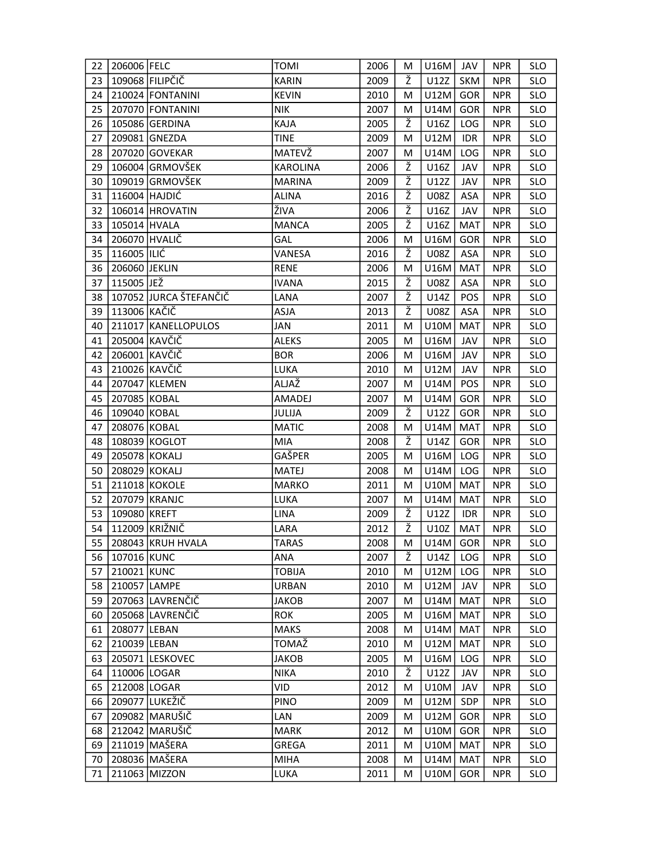| 22 | 206006 FELC   |                        | TOMI            | 2006 | М | U16M        | JAV        | <b>NPR</b> | <b>SLO</b> |
|----|---------------|------------------------|-----------------|------|---|-------------|------------|------------|------------|
| 23 |               | 109068 FILIPČIČ        | <b>KARIN</b>    | 2009 | Ž | U12Z        | <b>SKM</b> | <b>NPR</b> | <b>SLO</b> |
| 24 |               | 210024 FONTANINI       | <b>KEVIN</b>    | 2010 | М | U12M        | GOR        | <b>NPR</b> | <b>SLO</b> |
| 25 |               | 207070 FONTANINI       | <b>NIK</b>      | 2007 | м | U14M        | GOR        | <b>NPR</b> | <b>SLO</b> |
| 26 |               | 105086 GERDINA         | KAJA            | 2005 | Ž | U16Z        | LOG        | <b>NPR</b> | <b>SLO</b> |
| 27 |               | 209081 GNEZDA          | TINE            | 2009 | м | U12M        | <b>IDR</b> | <b>NPR</b> | <b>SLO</b> |
| 28 |               | 207020 GOVEKAR         | MATEVŽ          | 2007 | М | U14M        | LOG        | <b>NPR</b> | <b>SLO</b> |
| 29 |               | 106004 GRMOVŠEK        | <b>KAROLINA</b> | 2006 | Ž | U16Z        | JAV        | <b>NPR</b> | <b>SLO</b> |
| 30 |               | 109019 GRMOVŠEK        | <b>MARINA</b>   | 2009 | ž | U12Z        | JAV        | <b>NPR</b> | <b>SLO</b> |
| 31 | 116004 HAJDIĆ |                        | ALINA           | 2016 | Ž | <b>U08Z</b> | <b>ASA</b> | <b>NPR</b> | <b>SLO</b> |
| 32 |               | 106014 HROVATIN        | ŽIVA            | 2006 | ž | U16Z        | JAV        | <b>NPR</b> | <b>SLO</b> |
| 33 | 105014 HVALA  |                        | <b>MANCA</b>    | 2005 | Ž | U16Z        | <b>MAT</b> | <b>NPR</b> | <b>SLO</b> |
| 34 | 206070 HVALIČ |                        | GAL             | 2006 | м | U16M        | GOR        | <b>NPR</b> | <b>SLO</b> |
| 35 | 116005 ILIĆ   |                        | VANESA          | 2016 | ž | <b>U08Z</b> | ASA        | <b>NPR</b> | <b>SLO</b> |
| 36 | 206060 JEKLIN |                        | <b>RENE</b>     | 2006 | M | U16M        | <b>MAT</b> | <b>NPR</b> | <b>SLO</b> |
| 37 | 115005 JEŽ    |                        | <b>IVANA</b>    | 2015 | Ž | <b>U08Z</b> | ASA        | <b>NPR</b> | <b>SLO</b> |
| 38 |               | 107052 JURCA ŠTEFANČIČ | LANA            | 2007 | ž | U14Z        | <b>POS</b> | <b>NPR</b> | <b>SLO</b> |
| 39 | 113006 KAČIČ  |                        | <b>ASJA</b>     | 2013 | ž | <b>U08Z</b> | ASA        | <b>NPR</b> | <b>SLO</b> |
| 40 |               | 211017 KANELLOPULOS    | JAN             | 2011 | M | U10M        | <b>MAT</b> | <b>NPR</b> | <b>SLO</b> |
| 41 | 205004 KAVČIČ |                        | <b>ALEKS</b>    | 2005 | м | U16M        | JAV        | <b>NPR</b> | <b>SLO</b> |
| 42 | 206001 KAVČIČ |                        | <b>BOR</b>      | 2006 | M | U16M        | JAV        | <b>NPR</b> | <b>SLO</b> |
| 43 | 210026 KAVČIČ |                        | LUKA            | 2010 | м | U12M        | JAV        | <b>NPR</b> | <b>SLO</b> |
| 44 |               | 207047 KLEMEN          | ALJAŽ           | 2007 | М | U14M        | POS        | <b>NPR</b> | <b>SLO</b> |
| 45 | 207085 KOBAL  |                        | AMADEJ          | 2007 | М | U14M        | <b>GOR</b> | <b>NPR</b> | <b>SLO</b> |
| 46 | 109040 KOBAL  |                        | <b>JULIJA</b>   | 2009 | Ž | U12Z        | <b>GOR</b> | <b>NPR</b> | <b>SLO</b> |
| 47 | 208076 KOBAL  |                        | <b>MATIC</b>    | 2008 | M | U14M        | MAT        | <b>NPR</b> | <b>SLO</b> |
| 48 |               | 108039 KOGLOT          | <b>MIA</b>      | 2008 | Ž | U14Z        | <b>GOR</b> | <b>NPR</b> | <b>SLO</b> |
| 49 | 205078 KOKALJ |                        | GAŠPER          | 2005 | M | U16M        | LOG        | <b>NPR</b> | <b>SLO</b> |
| 50 | 208029 KOKALJ |                        | MATEJ           | 2008 | м | U14M        | LOG        | <b>NPR</b> | <b>SLO</b> |
| 51 |               | 211018 KOKOLE          | <b>MARKO</b>    | 2011 | М | U10M        | <b>MAT</b> | <b>NPR</b> | <b>SLO</b> |
| 52 |               | 207079 KRANJC          | LUKA            | 2007 | М | U14M        | <b>MAT</b> | <b>NPR</b> | <b>SLO</b> |
| 53 | 109080 KREFT  |                        | LINA            | 2009 | Ž | U12Z        | IDR.       | <b>NPR</b> | <b>SLO</b> |
| 54 |               | 112009 KRIŽNIČ         | LARA            | 2012 | ž | U10Z        | <b>MAT</b> | <b>NPR</b> | <b>SLO</b> |
| 55 |               | 208043 KRUH HVALA      | <b>TARAS</b>    | 2008 | M | $U14M$ GOR  |            | <b>NPR</b> | <b>SLO</b> |
| 56 | 107016 KUNC   |                        | <b>ANA</b>      | 2007 | Ž | U14Z        | LOG        | <b>NPR</b> | <b>SLO</b> |
| 57 | 210021 KUNC   |                        | <b>TOBIJA</b>   | 2010 | М | U12M        | <b>LOG</b> | <b>NPR</b> | <b>SLO</b> |
| 58 | 210057 LAMPE  |                        | <b>URBAN</b>    | 2010 | M | U12M        | JAV        | <b>NPR</b> | <b>SLO</b> |
| 59 |               | 207063 LAVRENČIČ       | <b>JAKOB</b>    | 2007 | М | U14M        | <b>MAT</b> | <b>NPR</b> | <b>SLO</b> |
| 60 |               | 205068 LAVRENČIČ       | <b>ROK</b>      | 2005 | M | U16M        | MAT        | <b>NPR</b> | <b>SLO</b> |
| 61 | 208077 LEBAN  |                        | <b>MAKS</b>     | 2008 | М | U14M        | MAT        | <b>NPR</b> | <b>SLO</b> |
| 62 | 210039 LEBAN  |                        | TOMAŽ           | 2010 | M | U12M        | MAT        | <b>NPR</b> | SLO        |
| 63 |               | 205071 LESKOVEC        | <b>JAKOB</b>    | 2005 | M | U16M        | LOG        | <b>NPR</b> | <b>SLO</b> |
| 64 | 110006 LOGAR  |                        | <b>NIKA</b>     | 2010 | Ž | U12Z        | JAV        | <b>NPR</b> | <b>SLO</b> |
| 65 | 212008 LOGAR  |                        | VID             | 2012 | M | U10M        | JAV        | <b>NPR</b> | <b>SLO</b> |
| 66 |               | 209077 LUKEŽIČ         | <b>PINO</b>     | 2009 | M | U12M        | SDP        | <b>NPR</b> | <b>SLO</b> |
| 67 |               | 209082 MARUŠIČ         | LAN             | 2009 | M | U12M        | GOR        | <b>NPR</b> | <b>SLO</b> |
| 68 |               | 212042 MARUŠIČ         | <b>MARK</b>     | 2012 | M | U10M        | <b>GOR</b> | <b>NPR</b> | <b>SLO</b> |
| 69 |               | 211019 MAŠERA          | GREGA           | 2011 | M | U10M        | MAT        | <b>NPR</b> | <b>SLO</b> |
| 70 |               | 208036 MAŠERA          | <b>MIHA</b>     | 2008 | M | U14M        | MAT        | <b>NPR</b> | <b>SLO</b> |
| 71 |               | 211063 MIZZON          | LUKA            | 2011 | M | U10M        | GOR        | <b>NPR</b> | <b>SLO</b> |
|    |               |                        |                 |      |   |             |            |            |            |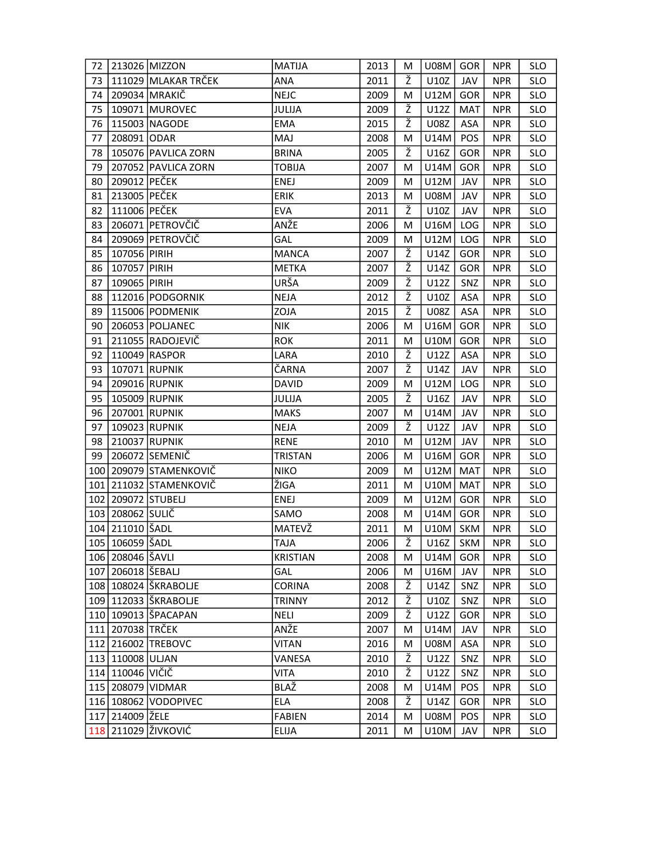| 72  |                       | 213026 MIZZON            | <b>MATIJA</b>   | 2013 | M | $U08M$ GOR  |            | <b>NPR</b> | <b>SLO</b> |
|-----|-----------------------|--------------------------|-----------------|------|---|-------------|------------|------------|------------|
| 73  |                       | 111029 MLAKAR TRČEK      | <b>ANA</b>      | 2011 | Ž | U10Z        | JAV        | <b>NPR</b> | <b>SLO</b> |
| 74  |                       | 209034 MRAKIČ            | <b>NEJC</b>     | 2009 | M | U12M        | GOR        | <b>NPR</b> | <b>SLO</b> |
| 75  |                       | 109071 MUROVEC           | JULIJA          | 2009 | Ž | U12Z        | <b>MAT</b> | <b>NPR</b> | <b>SLO</b> |
| 76  |                       | 115003 NAGODE            | <b>EMA</b>      | 2015 | Ž | <b>U08Z</b> | ASA        | <b>NPR</b> | <b>SLO</b> |
| 77  | 208091 ODAR           |                          | <b>MAJ</b>      | 2008 | м | U14M        | POS        | <b>NPR</b> | <b>SLO</b> |
| 78  |                       | 105076 PAVLICA ZORN      | <b>BRINA</b>    | 2005 | Ž | U16Z        | GOR        | <b>NPR</b> | <b>SLO</b> |
| 79  |                       | 207052 PAVLICA ZORN      | <b>TOBIJA</b>   | 2007 | М | U14M        | GOR        | <b>NPR</b> | <b>SLO</b> |
| 80  | 209012 PEČEK          |                          | <b>ENEJ</b>     | 2009 | М | U12M        | JAV        | <b>NPR</b> | <b>SLO</b> |
| 81  | 213005 PEČEK          |                          | <b>ERIK</b>     | 2013 | M | <b>U08M</b> | JAV        | <b>NPR</b> | <b>SLO</b> |
| 82  | 111006 PEČEK          |                          | <b>EVA</b>      | 2011 | ž | U10Z        | JAV        | <b>NPR</b> | <b>SLO</b> |
| 83  |                       | 206071 PETROVČIČ         | ANŽE            | 2006 | М | U16M        | LOG        | <b>NPR</b> | <b>SLO</b> |
| 84  |                       | 209069 PETROVČIČ         | GAL             | 2009 | M | U12M        | LOG        | <b>NPR</b> | <b>SLO</b> |
| 85  | 107056 PIRIH          |                          | <b>MANCA</b>    | 2007 | Ž | U14Z        | GOR        | <b>NPR</b> | <b>SLO</b> |
| 86  | 107057 PIRIH          |                          | <b>METKA</b>    | 2007 | Ž | U14Z        | GOR        | <b>NPR</b> | <b>SLO</b> |
| 87  | 109065 PIRIH          |                          | URŠA            | 2009 | Ž | U12Z        | SNZ        | <b>NPR</b> | <b>SLO</b> |
| 88  |                       | 112016 PODGORNIK         | <b>NEJA</b>     | 2012 | Ž | U10Z        | ASA        | <b>NPR</b> | <b>SLO</b> |
| 89  |                       | 115006 PODMENIK          | ZOJA            | 2015 | ž | U08Z        | ASA        | <b>NPR</b> | <b>SLO</b> |
| 90  |                       | 206053 POLJANEC          | <b>NIK</b>      | 2006 | M | U16M        | GOR        | <b>NPR</b> | <b>SLO</b> |
| 91  |                       | 211055 RADOJEVIČ         | <b>ROK</b>      | 2011 | М | U10M        | GOR        | <b>NPR</b> | <b>SLO</b> |
| 92  |                       | 110049 RASPOR            | LARA            | 2010 | Ž | U12Z        | ASA        | <b>NPR</b> | <b>SLO</b> |
| 93  | 107071 RUPNIK         |                          | ČARNA           | 2007 | ž | U14Z        | JAV        | <b>NPR</b> | <b>SLO</b> |
| 94  | 209016 RUPNIK         |                          | <b>DAVID</b>    | 2009 | M | U12M        | LOG        | <b>NPR</b> | <b>SLO</b> |
| 95  |                       | 105009 RUPNIK            | JULIJA          | 2005 | Ž | U16Z        | JAV        | <b>NPR</b> | <b>SLO</b> |
| 96  | 207001 RUPNIK         |                          | <b>MAKS</b>     | 2007 | M | U14M        | JAV        | <b>NPR</b> | <b>SLO</b> |
| 97  |                       | 109023 RUPNIK            | <b>NEJA</b>     | 2009 | ž | U12Z        | JAV        | <b>NPR</b> | <b>SLO</b> |
| 98  | 210037 RUPNIK         |                          | <b>RENE</b>     | 2010 | М | U12M        | JAV        | <b>NPR</b> | <b>SLO</b> |
| 99  |                       | 206072 SEMENIČ           | <b>TRISTAN</b>  | 2006 | М | U16M        | GOR        | <b>NPR</b> | <b>SLO</b> |
| 100 |                       | 209079 STAMENKOVIČ       | <b>NIKO</b>     | 2009 | М | U12M        | MAT        | <b>NPR</b> | <b>SLO</b> |
| 101 |                       | 211032 STAMENKOVIČ       | ŽIGA            | 2011 | M | U10M        | <b>MAT</b> | <b>NPR</b> | <b>SLO</b> |
|     | 102 209072 STUBELJ    |                          | ENEJ            | 2009 | М | U12M        | GOR        | <b>NPR</b> | <b>SLO</b> |
|     | 103   208062   SULIČ  |                          | SAMO            | 2008 | М | U14M        | GOR        | <b>NPR</b> | SLO        |
|     | 104 211010 ŠADL       |                          | MATEVŽ          | 2011 | М | U10M        | <b>SKM</b> | <b>NPR</b> | <b>SLO</b> |
|     | 105 106059   ŠADL     |                          | <b>TAJA</b>     | 2006 | Ž | U16Z        | SKM        | <b>NPR</b> | <b>SLO</b> |
|     | 106 208046 ŠAVLI      |                          | <b>KRISTIAN</b> | 2008 | M | $U14M$ GOR  |            | <b>NPR</b> | <b>SLO</b> |
|     | 107   206018   ŠEBALJ |                          | GAL             | 2006 | M | U16M        | JAV        | <b>NPR</b> | <b>SLO</b> |
|     |                       | 108   108024   ŠKRABOLJE | <b>CORINA</b>   | 2008 | Ž | U14Z        | SNZ        | <b>NPR</b> | <b>SLO</b> |
|     |                       | 109   112033   ŠKRABOLJE | <b>TRINNY</b>   | 2012 | Ž | U10Z        | <b>SNZ</b> | <b>NPR</b> | <b>SLO</b> |
|     |                       | 110 109013 ŠPACAPAN      | NELI            | 2009 | Ž | U12Z        | GOR        | <b>NPR</b> | <b>SLO</b> |
|     | 111 207038 TRČEK      |                          | ANŽE            | 2007 | М | U14M        | JAV        | <b>NPR</b> | <b>SLO</b> |
|     |                       | 112 216002 TREBOVC       | <b>VITAN</b>    | 2016 | М | <b>U08M</b> | ASA        | <b>NPR</b> | <b>SLO</b> |
|     | 113 110008 ULJAN      |                          | VANESA          | 2010 | Ž | U12Z        | SNZ        | <b>NPR</b> | <b>SLO</b> |
|     | 114 110046 VIČIČ      |                          | VITA            | 2010 | Ž | U12Z        | SNZ        | <b>NPR</b> | <b>SLO</b> |
|     |                       | 115 208079 VIDMAR        | BLAŽ            | 2008 | M | U14M        | POS        | <b>NPR</b> | <b>SLO</b> |
|     |                       | 116 108062 VODOPIVEC     | <b>ELA</b>      | 2008 | Ž | U14Z        | GOR        | <b>NPR</b> | <b>SLO</b> |
|     | 117 214009 ŽELE       |                          | <b>FABIEN</b>   | 2014 | M | <b>U08M</b> | <b>POS</b> | <b>NPR</b> | <b>SLO</b> |
|     |                       | 118 211029 ŽIVKOVIĆ      | ELIJA           | 2011 | M | U10M        | JAV        | <b>NPR</b> | <b>SLO</b> |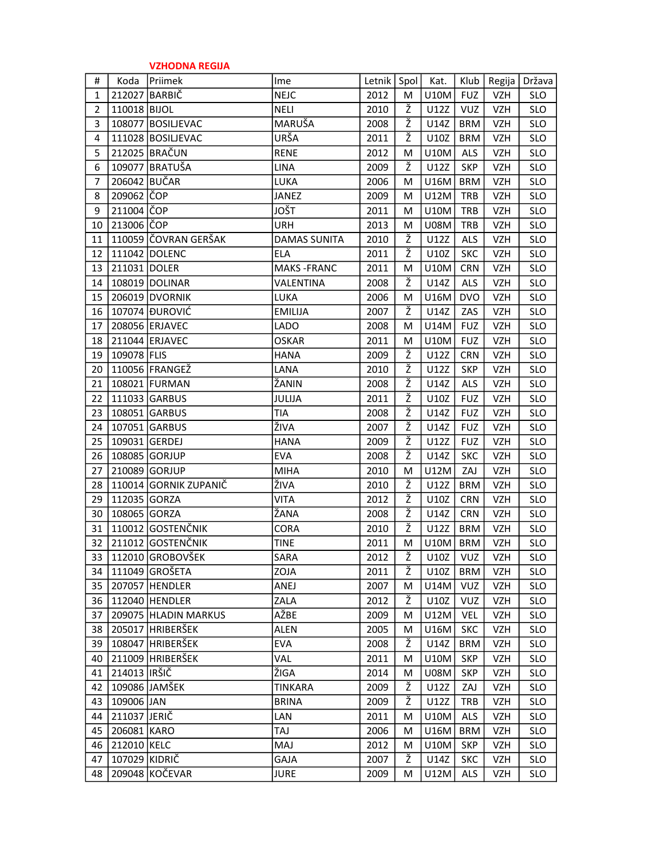|                |               | <b>VZHODNA REGIJA</b> |                     |        |      |             |            |            |            |
|----------------|---------------|-----------------------|---------------------|--------|------|-------------|------------|------------|------------|
| #              | Koda          | Priimek               | Ime                 | Letnik | Spol | Kat.        | Klub       | Regija     | Država     |
| $\mathbf{1}$   | 212027        | BARBIČ                | <b>NEJC</b>         | 2012   | м    | <b>U10M</b> | <b>FUZ</b> | VZH        | <b>SLO</b> |
| $\overline{2}$ | 110018 BIJOL  |                       | <b>NELI</b>         | 2010   | Ž    | U12Z        | <b>VUZ</b> | <b>VZH</b> | <b>SLO</b> |
| 3              |               | 108077 BOSILJEVAC     | MARUŠA              | 2008   | ž    | U14Z        | <b>BRM</b> | <b>VZH</b> | <b>SLO</b> |
| 4              |               | 111028 BOSILJEVAC     | URŠA                | 2011   | Ž    | U10Z        | <b>BRM</b> | VZH        | <b>SLO</b> |
| 5              |               | 212025 BRAČUN         | <b>RENE</b>         | 2012   | м    | <b>U10M</b> | ALS        | <b>VZH</b> | <b>SLO</b> |
| 6              |               | 109077 BRATUŠA        | <b>LINA</b>         | 2009   | Ž    | U12Z        | <b>SKP</b> | VZH        | <b>SLO</b> |
| 7              | 206042 BUČAR  |                       | LUKA                | 2006   | M    | U16M        | <b>BRM</b> | <b>VZH</b> | <b>SLO</b> |
| 8              | 209062 ČOP    |                       | JANEZ               | 2009   | м    | U12M        | <b>TRB</b> | VZH        | <b>SLO</b> |
| 9              | 211004 COP    |                       | JOŠT                | 2011   | м    | <b>U10M</b> | <b>TRB</b> | <b>VZH</b> | <b>SLO</b> |
| 10             | 213006 COP    |                       | <b>URH</b>          | 2013   | м    | <b>U08M</b> | <b>TRB</b> | <b>VZH</b> | <b>SLO</b> |
| 11             |               | 110059 ČOVRAN GERŠAK  | <b>DAMAS SUNITA</b> | 2010   | Ž    | U12Z        | <b>ALS</b> | <b>VZH</b> | <b>SLO</b> |
| 12             |               | 111042 DOLENC         | <b>ELA</b>          | 2011   | ž    | U10Z        | <b>SKC</b> | <b>VZH</b> | <b>SLO</b> |
| 13             | 211031 DOLER  |                       | <b>MAKS-FRANC</b>   | 2011   | M    | <b>U10M</b> | <b>CRN</b> | VZH        | <b>SLO</b> |
| 14             |               | 108019 DOLINAR        | VALENTINA           | 2008   | ž    | U14Z        | <b>ALS</b> | <b>VZH</b> | <b>SLO</b> |
| 15             |               | 206019 DVORNIK        | LUKA                | 2006   | M    | U16M        | <b>DVO</b> | VZH        | <b>SLO</b> |
| 16             |               | 107074 DUROVIĆ        | <b>EMILIJA</b>      | 2007   | ž    | U14Z        | ZAS        | <b>VZH</b> | <b>SLO</b> |
| 17             |               | 208056 ERJAVEC        | LADO                | 2008   | м    | U14M        | <b>FUZ</b> | <b>VZH</b> | <b>SLO</b> |
| 18             |               | 211044 ERJAVEC        | <b>OSKAR</b>        | 2011   | M    | <b>U10M</b> | <b>FUZ</b> | <b>VZH</b> | <b>SLO</b> |
| 19             | 109078 FLIS   |                       | <b>HANA</b>         | 2009   | Ž    | U12Z        | <b>CRN</b> | <b>VZH</b> | <b>SLO</b> |
| 20             |               | 110056 FRANGEŽ        | LANA                | 2010   | Ž    | U12Z        | <b>SKP</b> | VZH        | <b>SLO</b> |
| 21             |               | 108021 FURMAN         | ŽANIN               | 2008   | Ž    | U14Z        | ALS        | <b>VZH</b> | <b>SLO</b> |
| 22             |               | 111033 GARBUS         | JULIJA              | 2011   | Ž    | U10Z        | <b>FUZ</b> | <b>VZH</b> | <b>SLO</b> |
| 23             |               | 108051 GARBUS         | TIA                 | 2008   | Ž    | U14Z        | <b>FUZ</b> | <b>VZH</b> | <b>SLO</b> |
| 24             |               | 107051 GARBUS         | ŽIVA                | 2007   | ž    | U14Z        | <b>FUZ</b> | VZH        | <b>SLO</b> |
| 25             | 109031 GERDEJ |                       | <b>HANA</b>         | 2009   | Ž    | U12Z        | <b>FUZ</b> | <b>VZH</b> | <b>SLO</b> |
| 26             |               | 108085 GORJUP         | <b>EVA</b>          | 2008   | ž    | U14Z        | <b>SKC</b> | <b>VZH</b> | <b>SLO</b> |
| 27             |               | 210089 GORJUP         | <b>MIHA</b>         | 2010   | M    | U12M        | ZAJ        | <b>VZH</b> | <b>SLO</b> |
| 28             |               | 110014 GORNIK ZUPANIČ | ŽIVA                | 2010   | ž    | U12Z        | <b>BRM</b> | <b>VZH</b> | <b>SLO</b> |
| 29             | 112035 GORZA  |                       | <b>VITA</b>         | 2012   | Ž    | U10Z        | <b>CRN</b> | VZH        | <b>SLO</b> |
| 30             | 108065 GORZA  |                       | ŽANA                | 2008   | ž    | U14Z        | <b>CRN</b> | <b>VZH</b> | <b>SLO</b> |
| 31             |               | 110012 GOSTENČNIK     | CORA                | 2010   | Ž    | U12Z        | <b>BRM</b> | VZH        | <b>SLO</b> |
| 32 l           |               | 211012 GOSTENČNIK     | <b>TINE</b>         | 2011   | M    | U10M        | <b>BRM</b> | <b>VZH</b> | <b>SLO</b> |
| 33             |               | 112010 GROBOVŠEK      | SARA                | 2012   | Ž    | U10Z        | <b>VUZ</b> | VZH        | <b>SLO</b> |
| 34             |               | 111049 GROŠETA        | ZOJA                | 2011   | Ž    | U10Z        | <b>BRM</b> | <b>VZH</b> | <b>SLO</b> |
| 35             |               | 207057 HENDLER        | ANEJ                | 2007   | М    | U14M        | VUZ        | <b>VZH</b> | <b>SLO</b> |
| 36             |               | 112040 HENDLER        | ZALA                | 2012   | Ž    | U10Z        | <b>VUZ</b> | VZH        | <b>SLO</b> |
| 37             |               | 209075 HLADIN MARKUS  | AŽBE                | 2009   | М    | U12M        | VEL        | VZH        | <b>SLO</b> |
| 38             |               | 205017 HRIBERŠEK      | <b>ALEN</b>         | 2005   | M    | U16M        | <b>SKC</b> | VZH        | <b>SLO</b> |
| 39             |               | 108047 HRIBERŠEK      | <b>EVA</b>          | 2008   | Ž    | U14Z        | <b>BRM</b> | VZH        | <b>SLO</b> |
| 40             |               | 211009 HRIBERŠEK      | VAL                 | 2011   | M    | U10M        | <b>SKP</b> | VZH        | <b>SLO</b> |
| 41             | 214013  IRŠIČ |                       | ŽIGA                | 2014   | M    | <b>U08M</b> | <b>SKP</b> | VZH        | <b>SLO</b> |
| 42             |               | 109086 JAMŠEK         | <b>TINKARA</b>      | 2009   | Ž    | U12Z        | ZAJ        | VZH        | <b>SLO</b> |
| 43             | 109006 JAN    |                       | <b>BRINA</b>        | 2009   | Ž    | U12Z        | TRB        | VZH        | <b>SLO</b> |
| 44             | 211037 JERIČ  |                       | LAN                 | 2011   | м    | U10M        | <b>ALS</b> | VZH        | <b>SLO</b> |
| 45             | 206081 KARO   |                       | TAJ                 | 2006   | М    | U16M        | <b>BRM</b> | <b>VZH</b> | <b>SLO</b> |
| 46             | 212010 KELC   |                       | MAJ                 | 2012   | М    | U10M        | <b>SKP</b> | VZH        | <b>SLO</b> |
| 47             | 107029 KIDRIČ |                       | <b>GAJA</b>         | 2007   | Ž    | U14Z        | <b>SKC</b> | VZH        | <b>SLO</b> |
| 48             |               | 209048 KOČEVAR        | <b>JURE</b>         | 2009   | м    | U12M        | <b>ALS</b> | VZH        | <b>SLO</b> |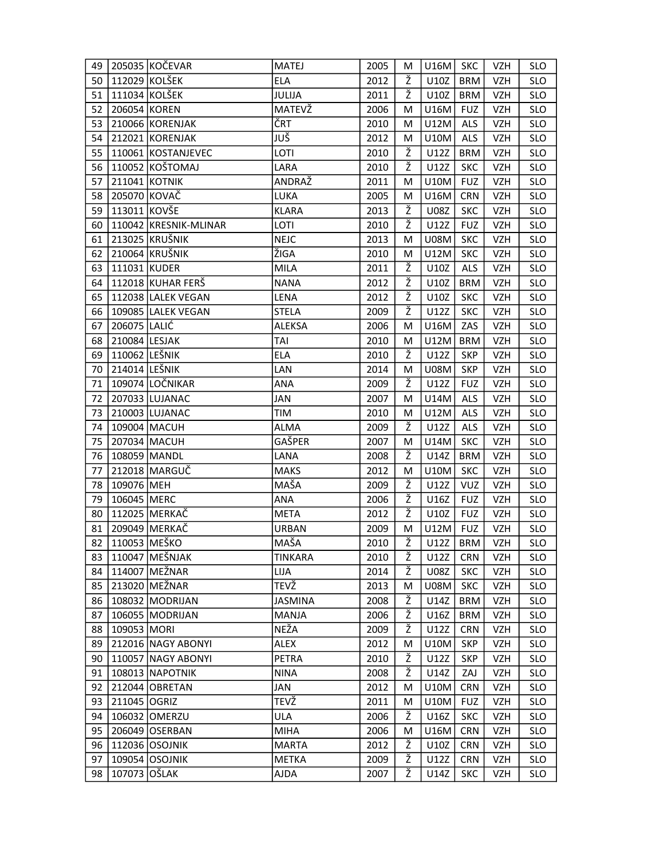| 49 |               | 205035 KOČEVAR        | <b>MATEJ</b>   | 2005 | M | $U16M$ SKC  |            | VZH        | <b>SLO</b> |
|----|---------------|-----------------------|----------------|------|---|-------------|------------|------------|------------|
| 50 |               | 112029 KOLŠEK         | <b>ELA</b>     | 2012 | Ž | U10Z        | <b>BRM</b> | <b>VZH</b> | <b>SLO</b> |
| 51 |               | 111034 KOLŠEK         | JULIJA         | 2011 | Ž | U10Z        | <b>BRM</b> | <b>VZH</b> | <b>SLO</b> |
| 52 | 206054 KOREN  |                       | MATEVŽ         | 2006 | М | U16M        | <b>FUZ</b> | <b>VZH</b> | <b>SLO</b> |
| 53 |               | 210066 KORENJAK       | ČRT            | 2010 | М | U12M        | <b>ALS</b> | VZH        | <b>SLO</b> |
| 54 |               | 212021 KORENJAK       | JUŠ            | 2012 | М | U10M        | <b>ALS</b> | <b>VZH</b> | <b>SLO</b> |
| 55 |               | 110061 KOSTANJEVEC    | LOTI           | 2010 | ž | U12Z        | <b>BRM</b> | <b>VZH</b> | <b>SLO</b> |
| 56 |               | 110052 KOŠTOMAJ       | LARA           | 2010 | Ž | U12Z        | <b>SKC</b> | VZH        | <b>SLO</b> |
| 57 |               | 211041 KOTNIK         | ANDRAŽ         | 2011 | M | U10M        | <b>FUZ</b> | <b>VZH</b> | <b>SLO</b> |
| 58 | 205070 KOVAČ  |                       | LUKA           | 2005 | М | U16M        | <b>CRN</b> | <b>VZH</b> | <b>SLO</b> |
| 59 | 113011 KOVŠE  |                       | <b>KLARA</b>   | 2013 | Ž | <b>U08Z</b> | <b>SKC</b> | VZH        | <b>SLO</b> |
| 60 |               | 110042 KRESNIK-MLINAR | LOTI           | 2010 | Ž | U12Z        | <b>FUZ</b> | VZH        | <b>SLO</b> |
| 61 |               | 213025 KRUŠNIK        | <b>NEJC</b>    | 2013 | М | <b>U08M</b> | <b>SKC</b> | <b>VZH</b> | <b>SLO</b> |
| 62 |               | 210064 KRUŠNIK        | ŽIGA           | 2010 | М | U12M        | <b>SKC</b> | VZH        | SLO        |
| 63 | 111031 KUDER  |                       | <b>MILA</b>    | 2011 | ž | U10Z        | <b>ALS</b> | <b>VZH</b> | <b>SLO</b> |
| 64 |               | 112018 KUHAR FERŠ     | <b>NANA</b>    | 2012 | ž | U10Z        | <b>BRM</b> | <b>VZH</b> | <b>SLO</b> |
| 65 |               | 112038 LALEK VEGAN    | LENA           | 2012 | Ž | U10Z        | <b>SKC</b> | <b>VZH</b> | <b>SLO</b> |
| 66 |               | 109085 LALEK VEGAN    | <b>STELA</b>   | 2009 | ž | U12Z        | <b>SKC</b> | <b>VZH</b> | <b>SLO</b> |
| 67 | 206075 LALIĆ  |                       | <b>ALEKSA</b>  | 2006 | М | U16M        | ZAS        | <b>VZH</b> | <b>SLO</b> |
| 68 | 210084 LESJAK |                       | TAI            | 2010 | М | U12M        | <b>BRM</b> | VZH        | <b>SLO</b> |
| 69 | 110062 LEŠNIK |                       | <b>ELA</b>     | 2010 | Ž | U12Z        | <b>SKP</b> | VZH        | <b>SLO</b> |
| 70 | 214014 LEŠNIK |                       | LAN            | 2014 | M | U08M        | <b>SKP</b> | <b>VZH</b> | <b>SLO</b> |
| 71 |               | 109074 LOČNIKAR       | <b>ANA</b>     | 2009 | Ž | U12Z        | <b>FUZ</b> | VZH        | <b>SLO</b> |
| 72 |               | 207033 LUJANAC        | JAN            | 2007 | M | U14M        | ALS        | VZH        | <b>SLO</b> |
| 73 |               | 210003 LUJANAC        | TIM            | 2010 | M | U12M        | <b>ALS</b> | <b>VZH</b> | <b>SLO</b> |
| 74 |               | 109004 MACUH          | ALMA           | 2009 | Ž | U12Z        | ALS        | <b>VZH</b> | <b>SLO</b> |
| 75 |               | 207034 MACUH          | GAŠPER         | 2007 | M | U14M        | <b>SKC</b> | <b>VZH</b> | <b>SLO</b> |
| 76 | 108059 MANDL  |                       | LANA           | 2008 | Ž | U14Z        | <b>BRM</b> | VZH        | <b>SLO</b> |
| 77 |               | 212018 MARGUČ         | <b>MAKS</b>    | 2012 | М | U10M        | <b>SKC</b> | <b>VZH</b> | <b>SLO</b> |
| 78 | 109076 MEH    |                       | MAŠA           | 2009 | Ž | U12Z        | <b>VUZ</b> | VZH        | <b>SLO</b> |
| 79 | 106045 MERC   |                       | <b>ANA</b>     | 2006 | Ž | U16Z        | <b>FUZ</b> | VZH        | <b>SLO</b> |
| 80 |               | 112025 MERKAČ         | <b>META</b>    | 2012 | ž | U10Z        | <b>FUZ</b> | <b>VZH</b> | <b>SLO</b> |
| 81 |               | 209049 MERKAČ         | <b>URBAN</b>   | 2009 | М | U12M        | <b>FUZ</b> | <b>VZH</b> | <b>SLO</b> |
| 82 | 110053 MEŠKO  |                       | MAŠA           | 2010 | Ž | U12Z        | <b>BRM</b> | <b>VZH</b> | <b>SLO</b> |
| 83 |               | 110047 MEŠNJAK        | <b>TINKARA</b> | 2010 | Ž | U12Z        | <b>CRN</b> | VZH        | <b>SLO</b> |
| 84 |               | 114007 MEŽNAR         | LIJA           | 2014 | Ž | U08Z        | <b>SKC</b> | VZH        | <b>SLO</b> |
| 85 |               | 213020 MEŽNAR         | TEVŽ           | 2013 | м | <b>U08M</b> | <b>SKC</b> | <b>VZH</b> | <b>SLO</b> |
| 86 |               | 108032 MODRIJAN       | <b>JASMINA</b> | 2008 | Ž | U14Z        | <b>BRM</b> | <b>VZH</b> | <b>SLO</b> |
| 87 |               | 106055 MODRIJAN       | <b>MANJA</b>   | 2006 | Ž | U16Z        | <b>BRM</b> | <b>VZH</b> | <b>SLO</b> |
| 88 | 109053 MORI   |                       | NEŽA           | 2009 | Ž | U12Z        | <b>CRN</b> | VZH        | <b>SLO</b> |
| 89 |               | 212016 NAGY ABONYI    | ALEX           | 2012 | M | U10M        | <b>SKP</b> | VZH        | <b>SLO</b> |
| 90 |               | 110057 NAGY ABONYI    | PETRA          | 2010 | Ž | U12Z        | <b>SKP</b> | VZH        | <b>SLO</b> |
| 91 |               | 108013 NAPOTNIK       | <b>NINA</b>    | 2008 | Ž | U14Z        | ZAJ        | <b>VZH</b> | <b>SLO</b> |
| 92 |               | 212044 OBRETAN        | JAN            | 2012 | M | U10M        | <b>CRN</b> | VZH        | <b>SLO</b> |
| 93 | 211045 OGRIZ  |                       | TEVŽ           | 2011 | M | U10M        | <b>FUZ</b> | VZH        | <b>SLO</b> |
| 94 |               | 106032 OMERZU         | ULA            | 2006 | Ž | U16Z        | <b>SKC</b> | <b>VZH</b> | <b>SLO</b> |
| 95 |               | 206049 OSERBAN        | <b>MIHA</b>    | 2006 | M | U16M        | <b>CRN</b> | <b>VZH</b> | SLO        |
| 96 |               | 112036 OSOJNIK        | <b>MARTA</b>   | 2012 | Ž | U10Z        | <b>CRN</b> | <b>VZH</b> | <b>SLO</b> |
| 97 |               | 109054 OSOJNIK        | <b>METKA</b>   | 2009 | Ž | U12Z        | <b>CRN</b> | VZH        | <b>SLO</b> |
| 98 | 107073 OŠLAK  |                       | AJDA           | 2007 | Ž | U14Z        | <b>SKC</b> | VZH        | <b>SLO</b> |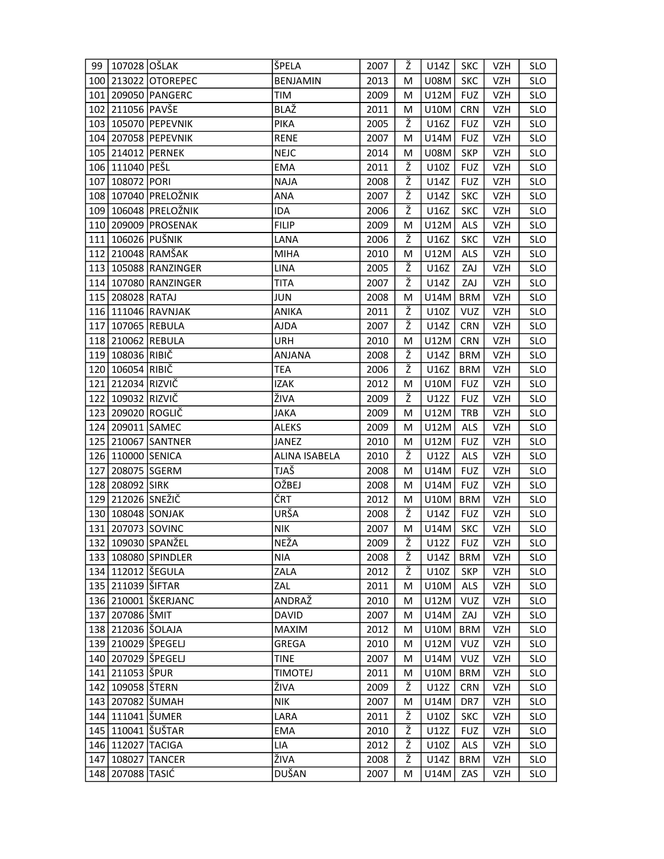| 99  | 107028 OŠLAK          |                          | ŠPELA           | 2007 | Ž | U14Z        | <b>SKC</b> | <b>VZH</b> | <b>SLO</b> |
|-----|-----------------------|--------------------------|-----------------|------|---|-------------|------------|------------|------------|
|     |                       | 100 213022 OTOREPEC      | <b>BENJAMIN</b> | 2013 | М | <b>U08M</b> | <b>SKC</b> | VZH        | <b>SLO</b> |
|     |                       | 101 209050 PANGERC       | TIM             | 2009 | M | U12M        | <b>FUZ</b> | <b>VZH</b> | <b>SLO</b> |
|     | 102 211056 PAVŠE      |                          | BLAŽ            | 2011 | М | <b>U10M</b> | <b>CRN</b> | VZH        | <b>SLO</b> |
|     |                       | 103 105070 PEPEVNIK      | PIKA            | 2005 | Ž | U16Z        | <b>FUZ</b> | VZH        | <b>SLO</b> |
|     |                       | 104 207058 PEPEVNIK      | <b>RENE</b>     | 2007 | м | U14M        | <b>FUZ</b> | <b>VZH</b> | <b>SLO</b> |
|     |                       | 105 214012 PERNEK        | <b>NEJC</b>     | 2014 | М | <b>U08M</b> | <b>SKP</b> | VZH        | <b>SLO</b> |
|     | 106 111040 PEŠL       |                          | <b>EMA</b>      | 2011 | Ž | U10Z        | <b>FUZ</b> | <b>VZH</b> | <b>SLO</b> |
| 107 | 108072 PORI           |                          | <b>NAJA</b>     | 2008 | ž | U14Z        | <b>FUZ</b> | VZH        | <b>SLO</b> |
|     |                       | 108   107040   PRELOŽNIK | ANA             | 2007 | Ž | U14Z        | <b>SKC</b> | VZH        | <b>SLO</b> |
|     |                       | 109 106048 PRELOŽNIK     | IDA             | 2006 | Ž | U16Z        | <b>SKC</b> | VZH        | <b>SLO</b> |
|     |                       | 110 209009 PROSENAK      | <b>FILIP</b>    | 2009 | M | U12M        | ALS        | VZH        | <b>SLO</b> |
|     |                       | 111 106026 PUŠNIK        | LANA            | 2006 | Ž | U16Z        | <b>SKC</b> | <b>VZH</b> | <b>SLO</b> |
|     |                       | 112 210048 RAMŠAK        | <b>MIHA</b>     | 2010 | м | U12M        | <b>ALS</b> | VZH        | <b>SLO</b> |
|     |                       | 113 105088 RANZINGER     | <b>LINA</b>     | 2005 | Ž | U16Z        | ZAJ        | <b>VZH</b> | <b>SLO</b> |
|     |                       | 114 107080 RANZINGER     | TITA            | 2007 | ž | U14Z        | ZAJ        | <b>VZH</b> | <b>SLO</b> |
| 115 | 208028 RATAJ          |                          | <b>JUN</b>      | 2008 | M | U14M        | <b>BRM</b> | <b>VZH</b> | <b>SLO</b> |
|     |                       | 116 111046 RAVNJAK       | ANIKA           | 2011 | ž | U10Z        | VUZ        | <b>VZH</b> | <b>SLO</b> |
| 117 |                       | 107065 REBULA            | AJDA            | 2007 | Ž | U14Z        | <b>CRN</b> | <b>VZH</b> | <b>SLO</b> |
|     |                       | 118 210062 REBULA        | URH             | 2010 | M | U12M        | <b>CRN</b> | <b>VZH</b> | <b>SLO</b> |
|     | 119 108036 RIBIČ      |                          | ANJANA          | 2008 | Ž | U14Z        | <b>BRM</b> | <b>VZH</b> | <b>SLO</b> |
|     | 120 106054 RIBIČ      |                          | <b>TEA</b>      | 2006 | ž | U16Z        | <b>BRM</b> | <b>VZH</b> | <b>SLO</b> |
|     | 121 212034 RIZVIČ     |                          | <b>IZAK</b>     | 2012 | м | U10M        | <b>FUZ</b> | VZH        | <b>SLO</b> |
| 122 | 109032 RIZVIČ         |                          | ŽIVA            | 2009 | ž | U12Z        | <b>FUZ</b> | <b>VZH</b> | <b>SLO</b> |
|     |                       | 123 209020 ROGLIČ        | <b>JAKA</b>     | 2009 | M | U12M        | TRB        | <b>VZH</b> | <b>SLO</b> |
| 124 |                       | 209011 SAMEC             | <b>ALEKS</b>    | 2009 | М | U12M        | ALS        | <b>VZH</b> | <b>SLO</b> |
|     |                       | 125 210067 SANTNER       | JANEZ           | 2010 | М | U12M        | <b>FUZ</b> | <b>VZH</b> | <b>SLO</b> |
|     |                       | 126 110000 SENICA        | ALINA ISABELA   | 2010 | Ž | U12Z        | <b>ALS</b> | VZH        | <b>SLO</b> |
| 127 |                       | 208075 SGERM             | TJAŠ            | 2008 | м | U14M        | <b>FUZ</b> | <b>VZH</b> | <b>SLO</b> |
|     | 128 208092 SIRK       |                          | OŽBEJ           | 2008 | М | U14M        | <b>FUZ</b> | <b>VZH</b> | <b>SLO</b> |
|     | 129 212026 SNEŽIČ     |                          | ČRT             | 2012 | M | U10M        | <b>BRM</b> | VZH        | <b>SLO</b> |
|     |                       | 130 108048 SONJAK        | URŠA            | 2008 | Ž | U14Z        | <b>FUZ</b> | <b>VZH</b> | <b>SLO</b> |
|     |                       | 131 207073 SOVINC        | <b>NIK</b>      | 2007 | M | U14M        | <b>SKC</b> | <b>VZH</b> | <b>SLO</b> |
|     |                       | 132 109030 SPANŽEL       | <b>NEŽA</b>     | 2009 | ž | U12Z        | <b>FUZ</b> | VZH        | <b>SLO</b> |
|     |                       | 133 108080 SPINDLER      | <b>NIA</b>      | 2008 | Ž | U14Z        | BRM        | VZH        | <b>SLO</b> |
|     |                       | 134 112012 ŠEGULA        | ZALA            | 2012 | Ž | U10Z        | <b>SKP</b> | VZH        | <b>SLO</b> |
|     | 135   211039   ŠIFTAR |                          | ZAL             | 2011 | M | U10M        | <b>ALS</b> | VZH        | <b>SLO</b> |
|     |                       | 136 210001 ŠKERJANC      | ANDRAŽ          | 2010 | М | U12M        | <b>VUZ</b> | <b>VZH</b> | <b>SLO</b> |
|     | 137 207086 ŠMIT       |                          | DAVID           | 2007 | M | U14M        | ZAJ        | VZH        | <b>SLO</b> |
|     |                       | 138 212036 ŠOLAJA        | <b>MAXIM</b>    | 2012 | M | U10M        | <b>BRM</b> | <b>VZH</b> | <b>SLO</b> |
|     |                       | 139   210029   ŠPEGELJ   | GREGA           | 2010 | M | U12M        | VUZ        | <b>VZH</b> | <b>SLO</b> |
|     |                       | 140   207029   ŠPEGELJ   | <b>TINE</b>     | 2007 | M | U14M        | <b>VUZ</b> | <b>VZH</b> | <b>SLO</b> |
|     | 141 211053 ŠPUR       |                          | <b>TIMOTEJ</b>  | 2011 | M | U10M        | BRM        | VZH        | <b>SLO</b> |
|     | 142   109058   ŠTERN  |                          | ŽIVA            | 2009 | Ž | U12Z        | <b>CRN</b> | VZH        | <b>SLO</b> |
|     |                       | 143 207082 SUMAH         | <b>NIK</b>      | 2007 | M | U14M        | DR7        | VZH        | <b>SLO</b> |
|     |                       | 144   111041   ŠUMER     | LARA            | 2011 | Ž | U10Z        | <b>SKC</b> | <b>VZH</b> | <b>SLO</b> |
|     |                       | 145   110041   ŠUŠTAR    | <b>EMA</b>      | 2010 | Ž | U12Z        | <b>FUZ</b> | <b>VZH</b> | <b>SLO</b> |
|     |                       | 146 112027 TACIGA        | LIA             | 2012 | Ž | U10Z        | ALS        | <b>VZH</b> | <b>SLO</b> |
|     |                       | 147 108027 TANCER        | ŽIVA            | 2008 | ž | U14Z        | <b>BRM</b> | VZH        | <b>SLO</b> |
|     | 148   207088   TASIĆ  |                          | DUŠAN           | 2007 | M | U14M        | ZAS        | <b>VZH</b> | <b>SLO</b> |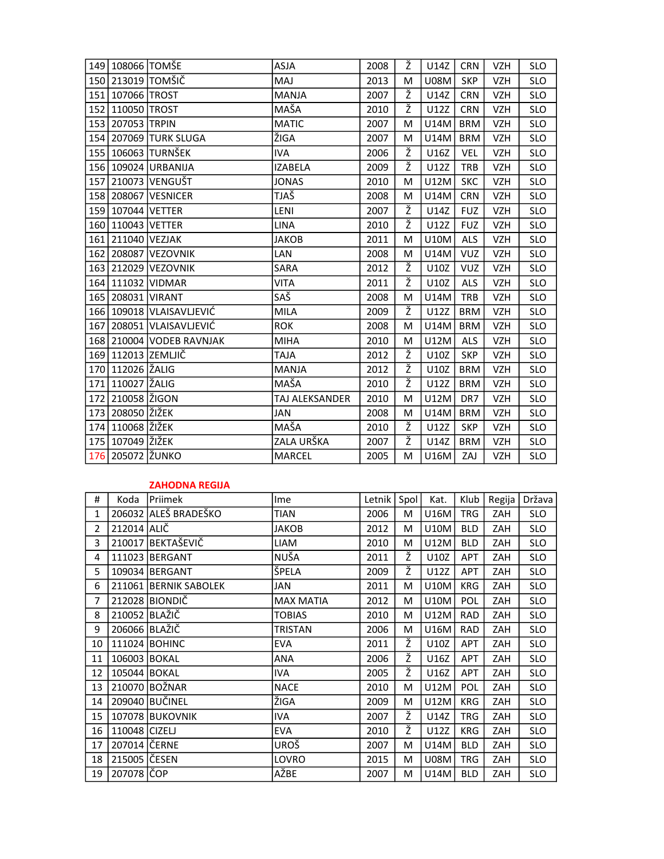|     | 149 108066 TOMŠE   |                              | <b>ASJA</b>    | 2008 | Ž | U14Z        | <b>CRN</b> | VZH        | <b>SLO</b> |
|-----|--------------------|------------------------------|----------------|------|---|-------------|------------|------------|------------|
| 150 |                    | 213019 TOMŠIČ                | MAJ            | 2013 | М | <b>U08M</b> | <b>SKP</b> | <b>VZH</b> | <b>SLO</b> |
|     | 151 107066 TROST   |                              | <b>MANJA</b>   | 2007 | ž | U14Z        | <b>CRN</b> | <b>VZH</b> | <b>SLO</b> |
|     | 152 110050 TROST   |                              | MAŠA           | 2010 | ž | U12Z        | <b>CRN</b> | <b>VZH</b> | <b>SLO</b> |
| 153 | 207053 TRPIN       |                              | <b>MATIC</b>   | 2007 | M | U14M        | <b>BRM</b> | <b>VZH</b> | <b>SLO</b> |
|     |                    | 154 207069 TURK SLUGA        | ŽIGA           | 2007 | M | U14M        | <b>BRM</b> | <b>VZH</b> | <b>SLO</b> |
|     |                    | 155   106063   TURNŠEK       | <b>IVA</b>     | 2006 | ž | U16Z        | <b>VEL</b> | <b>VZH</b> | <b>SLO</b> |
|     |                    | 156 109024 URBANIJA          | <b>IZABELA</b> | 2009 | ž | U12Z        | <b>TRB</b> | <b>VZH</b> | <b>SLO</b> |
| 157 |                    | 210073 VENGUŠT               | <b>JONAS</b>   | 2010 | M | U12M        | <b>SKC</b> | <b>VZH</b> | <b>SLO</b> |
|     |                    | 158 208067 VESNICER          | TJAŠ           | 2008 | M | U14M        | <b>CRN</b> | <b>VZH</b> | <b>SLO</b> |
| 159 | 107044 VETTER      |                              | LENI           | 2007 | ž | U14Z        | <b>FUZ</b> | <b>VZH</b> | <b>SLO</b> |
| 160 | 110043 VETTER      |                              | <b>LINA</b>    | 2010 | ž | U12Z        | <b>FUZ</b> | <b>VZH</b> | <b>SLO</b> |
|     | 161 211040 VEZJAK  |                              | JAKOB          | 2011 | М | <b>U10M</b> | <b>ALS</b> | <b>VZH</b> | <b>SLO</b> |
| 162 |                    | 208087 VEZOVNIK              | LAN            | 2008 | M | <b>U14M</b> | <b>VUZ</b> | <b>VZH</b> | <b>SLO</b> |
| 163 |                    | 212029 VEZOVNIK              | SARA           | 2012 | ž | U10Z        | <b>VUZ</b> | <b>VZH</b> | <b>SLO</b> |
|     |                    | 164 111032 VIDMAR            | <b>VITA</b>    | 2011 | ž | U10Z        | <b>ALS</b> | <b>VZH</b> | <b>SLO</b> |
|     | 165 208031 VIRANT  |                              | SAŠ            | 2008 | M | U14M        | <b>TRB</b> | <b>VZH</b> | <b>SLO</b> |
|     |                    | 166   109018   VLAISAVLJEVIĆ | <b>MILA</b>    | 2009 | ž | U12Z        | <b>BRM</b> | VZH        | <b>SLO</b> |
| 167 |                    | 208051 VLAISAVLJEVIĆ         | <b>ROK</b>     | 2008 | М | U14M        | <b>BRM</b> | <b>VZH</b> | <b>SLO</b> |
|     |                    | 168 210004 VODEB RAVNJAK     | <b>MIHA</b>    | 2010 | M | U12M        | <b>ALS</b> | <b>VZH</b> | <b>SLO</b> |
| 169 |                    | 112013   ZEMLJIČ             | <b>ALAT</b>    | 2012 | ž | U10Z        | <b>SKP</b> | VZH        | <b>SLO</b> |
| 170 | 112026 ŽALIG       |                              | MANJA          | 2012 | ž | U10Z        | <b>BRM</b> | <b>VZH</b> | <b>SLO</b> |
| 171 | 110027 ŽALIG       |                              | MAŠA           | 2010 | Ž | U12Z        | <b>BRM</b> | <b>VZH</b> | <b>SLO</b> |
| 172 | 210058 ŽIGON       |                              | TAJ ALEKSANDER | 2010 | м | U12M        | DR7        | <b>VZH</b> | <b>SLO</b> |
| 173 | 208050 ŽIŽEK       |                              | JAN            | 2008 | М | U14M        | <b>BRM</b> | <b>VZH</b> | <b>SLO</b> |
| 174 | 110068  ŽIŽEK      |                              | MAŠA           | 2010 | ž | U12Z        | <b>SKP</b> | <b>VZH</b> | <b>SLO</b> |
|     | 175   107049 ŽIŽEK |                              | ZALA URŠKA     | 2007 | Ž | U14Z        | <b>BRM</b> | <b>VZH</b> | <b>SLO</b> |
| 176 | 205072 ŽUNKO       |                              | <b>MARCEL</b>  | 2005 | M | U16M        | ZAJ        | <b>VZH</b> | <b>SLO</b> |

## ZAHODNA REGIJA

| #  | Koda          | <b>IPriimek</b>       | <b>Ime</b>       | Letnik | Spol | Kat.        | Klub       | Regija     | Država     |
|----|---------------|-----------------------|------------------|--------|------|-------------|------------|------------|------------|
| 1  |               | 206032 ALEŠ BRADEŠKO  | TIAN             | 2006   | M    | U16M        | <b>TRG</b> | ZAH        | <b>SLO</b> |
| 2  | 212014 ALIČ   |                       | JAKOB            | 2012   | M    | <b>U10M</b> | <b>BLD</b> | ZAH        | <b>SLO</b> |
| 3  |               | 210017 BEKTAŠEVIČ     | LIAM             | 2010   | М    | U12M        | <b>BLD</b> | ZAH        | <b>SLO</b> |
| 4  |               | 111023 BERGANT        | NUŠA             | 2011   | Ž    | U10Z        | <b>APT</b> | ZAH        | SLO        |
| 5  |               | 109034 BERGANT        | ŠPELA            | 2009   | Ž    | U12Z        | <b>APT</b> | <b>ZAH</b> | <b>SLO</b> |
| 6  |               | 211061 BERNIK SABOLEK | JAN              | 2011   | М    | <b>U10M</b> | KRG        | ZAH        | SLO        |
| 7  |               | 212028 BIONDIČ        | <b>MAX MATIA</b> | 2012   | М    | U10M        | <b>POL</b> | ZAH        | <b>SLO</b> |
| 8  | 210052 BLAŽIČ |                       | TOBIAS           | 2010   | М    | U12M        | RAD        | ZAH        | <b>SLO</b> |
| 9  | 206066 BLAŽIČ |                       | <b>TRISTAN</b>   | 2006   | M    | U16M        | <b>RAD</b> | ZAH        | <b>SLO</b> |
| 10 |               | 111024 BOHINC         | <b>EVA</b>       | 2011   | ž    | U10Z        | <b>APT</b> | ZAH        | SLO        |
| 11 | 106003 BOKAL  |                       | ANA              | 2006   | Ž    | U16Z        | <b>APT</b> | ZAH        | <b>SLO</b> |
| 12 | 105044 BOKAL  |                       | IVA.             | 2005   | ž    | U16Z        | <b>APT</b> | ZAH        | <b>SLO</b> |
| 13 |               | 210070 BOŽNAR         | <b>NACE</b>      | 2010   | M    | U12M        | POL        | ZAH        | <b>SLO</b> |
| 14 |               | 209040 BUČINEL        | ŽIGA             | 2009   | M    | U12M        | KRG        | ZAH        | <b>SLO</b> |
| 15 |               | 107078 BUKOVNIK       | IVA              | 2007   | Ž    | U14Z        | TRG        | ZAH        | <b>SLO</b> |
| 16 | 110048 CIZELJ |                       | <b>EVA</b>       | 2010   | ž    | U12Z        | <b>KRG</b> | ZAH        | <b>SLO</b> |
| 17 | 207014 ČERNE  |                       | <b>UROŠ</b>      | 2007   | M    | U14M        | <b>BLD</b> | ZAH        | SLO        |
| 18 | 215005 ČESEN  |                       | LOVRO            | 2015   | М    | <b>U08M</b> | <b>TRG</b> | ZAH        | <b>SLO</b> |
| 19 | 207078 ČOP    |                       | AŽBE             | 2007   | М    | U14M        | <b>BLD</b> | ZAH        | SLO.       |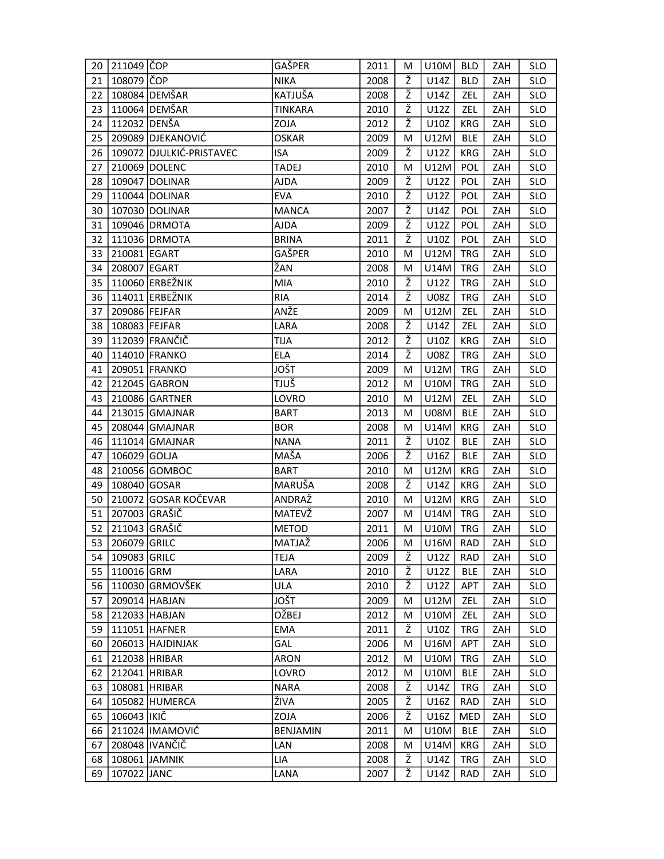| 20 | 211049 ČOP    |                          | GAŠPER          | 2011 | M | U10M        | <b>BLD</b> | ZAH | <b>SLO</b> |
|----|---------------|--------------------------|-----------------|------|---|-------------|------------|-----|------------|
| 21 | 108079 ČOP    |                          | <b>NIKA</b>     | 2008 | Ž | U14Z        | <b>BLD</b> | ZAH | <b>SLO</b> |
| 22 |               | 108084 DEMŠAR            | KATJUŠA         | 2008 | Ž | U14Z        | ZEL        | ZAH | <b>SLO</b> |
| 23 |               | 110064 DEMŠAR            | <b>TINKARA</b>  | 2010 | Ž | U12Z        | ZEL        | ZAH | <b>SLO</b> |
| 24 | 112032 DENŠA  |                          | ZOJA            | 2012 | ž | U10Z        | <b>KRG</b> | ZAH | <b>SLO</b> |
| 25 |               | 209089 DJEKANOVIĆ        | <b>OSKAR</b>    | 2009 | M | U12M        | <b>BLE</b> | ZAH | <b>SLO</b> |
| 26 |               | 109072 DJULKIĆ-PRISTAVEC | <b>ISA</b>      | 2009 | ž | U12Z        | KRG        | ZAH | <b>SLO</b> |
| 27 |               | 210069 DOLENC            | <b>TADEJ</b>    | 2010 | М | U12M        | <b>POL</b> | ZAH | <b>SLO</b> |
| 28 |               | 109047 DOLINAR           | AJDA            | 2009 | ž | U12Z        | POL        | ZAH | <b>SLO</b> |
| 29 |               | 110044 DOLINAR           | <b>EVA</b>      | 2010 | Ž | U12Z        | <b>POL</b> | ZAH | <b>SLO</b> |
| 30 |               | 107030 DOLINAR           | <b>MANCA</b>    | 2007 | Ž | U14Z        | POL        | ZAH | <b>SLO</b> |
| 31 |               | 109046 DRMOTA            | AJDA            | 2009 | Ž | U12Z        | POL        | ZAH | <b>SLO</b> |
| 32 |               | 111036 DRMOTA            | <b>BRINA</b>    | 2011 | ž | U10Z        | <b>POL</b> | ZAH | <b>SLO</b> |
| 33 | 210081 EGART  |                          | GAŠPER          | 2010 | М | U12M        | <b>TRG</b> | ZAH | SLO        |
| 34 | 208007 EGART  |                          | ŽAN             | 2008 | M | U14M        | <b>TRG</b> | ZAH | <b>SLO</b> |
| 35 |               | 110060 ERBEŽNIK          | <b>MIA</b>      | 2010 | Ž | U12Z        | <b>TRG</b> | ZAH | <b>SLO</b> |
| 36 |               | 114011 ERBEŽNIK          | <b>RIA</b>      | 2014 | Ž | <b>U08Z</b> | <b>TRG</b> | ZAH | <b>SLO</b> |
| 37 | 209086 FEJFAR |                          | ANŽE            | 2009 | M | U12M        | ZEL        | ZAH | <b>SLO</b> |
| 38 | 108083 FEJFAR |                          | LARA            | 2008 | Ž | U14Z        | ZEL        | ZAH | <b>SLO</b> |
| 39 |               | 112039 FRANČIČ           | <b>TIJA</b>     | 2012 | Ž | U10Z        | KRG        | ZAH | <b>SLO</b> |
| 40 |               | 114010 FRANKO            | <b>ELA</b>      | 2014 | Ž | U08Z        | <b>TRG</b> | ZAH | <b>SLO</b> |
| 41 |               | 209051 FRANKO            | <b>JOŠT</b>     | 2009 | M | U12M        | <b>TRG</b> | ZAH | <b>SLO</b> |
| 42 |               | 212045 GABRON            | TJUŠ            | 2012 | м | U10M        | <b>TRG</b> | ZAH | <b>SLO</b> |
| 43 |               | 210086 GARTNER           | LOVRO           | 2010 | М | U12M        | ZEL        | ZAH | <b>SLO</b> |
| 44 |               | 213015 GMAJNAR           | <b>BART</b>     | 2013 | м | <b>U08M</b> | <b>BLE</b> | ZAH | <b>SLO</b> |
| 45 |               | 208044 GMAJNAR           | <b>BOR</b>      | 2008 | M | U14M        | KRG        | ZAH | <b>SLO</b> |
| 46 |               | 111014 GMAJNAR           | <b>NANA</b>     | 2011 | Ž | U10Z        | <b>BLE</b> | ZAH | <b>SLO</b> |
| 47 | 106029 GOLJA  |                          | MAŠA            | 2006 | Ž | U16Z        | <b>BLE</b> | ZAH | <b>SLO</b> |
| 48 |               | 210056 GOMBOC            | <b>BART</b>     | 2010 | М | U12M        | KRG        | ZAH | <b>SLO</b> |
| 49 | 108040 GOSAR  |                          | MARUŠA          | 2008 | Ž | U14Z        | KRG        | ZAH | <b>SLO</b> |
| 50 |               | 210072 GOSAR KOČEVAR     | ANDRAŽ          | 2010 | M | U12M        | KRG        | ZAH | <b>SLO</b> |
| 51 | 207003 GRAŠIČ |                          | MATEVŽ          | 2007 | М | U14M        | <b>TRG</b> | ZAH | <b>SLO</b> |
| 52 | 211043 GRAŠIČ |                          | <b>METOD</b>    | 2011 | М | U10M        | <b>TRG</b> | ZAH | <b>SLO</b> |
| 53 | 206079 GRILC  |                          | MATJAŽ          | 2006 | M | U16M        | RAD        | ZAH | <b>SLO</b> |
| 54 | 109083 GRILC  |                          | TEJA            | 2009 | Ž | U12Z        | RAD        | ZAH | <b>SLO</b> |
| 55 | 110016 GRM    |                          | LARA            | 2010 | Ž | U12Z        | <b>BLE</b> | ZAH | <b>SLO</b> |
| 56 |               | 110030 GRMOVŠEK          | ULA             | 2010 | Ž | U12Z        | APT        | ZAH | <b>SLO</b> |
| 57 |               | 209014 HABJAN            | <b>JOŠT</b>     | 2009 | м | U12M        | ZEL        | ZAH | <b>SLO</b> |
| 58 |               | 212033 HABJAN            | OŽBEJ           | 2012 | M | U10M        | <b>ZEL</b> | ZAH | <b>SLO</b> |
| 59 |               | 111051 HAFNER            | <b>EMA</b>      | 2011 | Ž | U10Z        | <b>TRG</b> | ZAH | <b>SLO</b> |
| 60 |               | 206013 HAJDINJAK         | GAL             | 2006 | M | U16M        | <b>APT</b> | ZAH | <b>SLO</b> |
| 61 | 212038 HRIBAR |                          | <b>ARON</b>     | 2012 | M | <b>U10M</b> | <b>TRG</b> | ZAH | <b>SLO</b> |
| 62 | 212041 HRIBAR |                          | LOVRO           | 2012 | М | U10M        | <b>BLE</b> | ZAH | <b>SLO</b> |
| 63 |               | 108081 HRIBAR            | <b>NARA</b>     | 2008 | Ž | U14Z        | TRG        | ZAH | <b>SLO</b> |
| 64 |               | 105082 HUMERCA           | ŽIVA            | 2005 | Ž | U16Z        | RAD        | ZAH | <b>SLO</b> |
| 65 | 106043  IKIČ  |                          | ZOJA            | 2006 | Ž | U16Z        | MED        | ZAH | <b>SLO</b> |
| 66 |               | 211024 IMAMOVIĆ          | <b>BENJAMIN</b> | 2011 | M | <b>U10M</b> | <b>BLE</b> | ZAH | <b>SLO</b> |
| 67 |               | 208048 IVANČIČ           | LAN             | 2008 | M | U14M        | KRG.       | ZAH | <b>SLO</b> |
| 68 |               | 108061 JAMNIK            | LIA             | 2008 | Ž | U14Z        | <b>TRG</b> | ZAH | <b>SLO</b> |
| 69 | 107022 JANC   |                          | LANA            | 2007 | Ž | U14Z        | <b>RAD</b> | ZAH | <b>SLO</b> |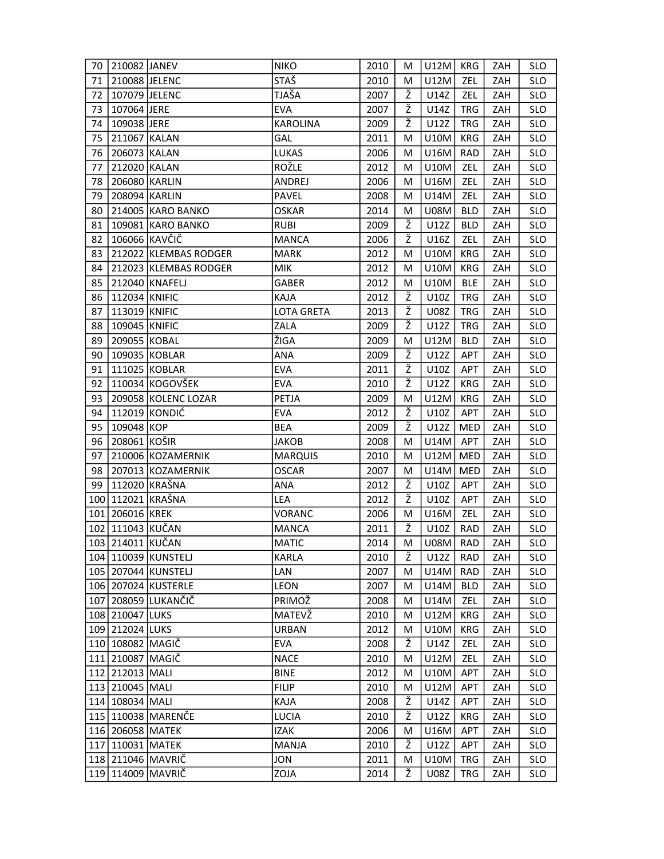| 70  | 210082 JANEV       |                         | <b>NIKO</b>       | 2010 | М | U12M        | KRG        | ZAH | <b>SLO</b> |
|-----|--------------------|-------------------------|-------------------|------|---|-------------|------------|-----|------------|
| 71  | 210088 JELENC      |                         | <b>STAŠ</b>       | 2010 | M | U12M        | ZEL        | ZAH | <b>SLO</b> |
| 72  | 107079 JELENC      |                         | TJAŠA             | 2007 | Ž | U14Z        | ZEL        | ZAH | <b>SLO</b> |
| 73  | 107064 JERE        |                         | <b>EVA</b>        | 2007 | Ž | U14Z        | <b>TRG</b> | ZAH | <b>SLO</b> |
| 74  | 109038 JERE        |                         | <b>KAROLINA</b>   | 2009 | ž | U12Z        | <b>TRG</b> | ZAH | <b>SLO</b> |
| 75  | 211067 KALAN       |                         | GAL               | 2011 | М | U10M        | KRG        | ZAH | <b>SLO</b> |
| 76  | 206073 KALAN       |                         | LUKAS             | 2006 | М | U16M        | <b>RAD</b> | ZAH | <b>SLO</b> |
| 77  | 212020 KALAN       |                         | ROŽLE             | 2012 | М | U10M        | ZEL        | ZAH | <b>SLO</b> |
| 78  | 206080 KARLIN      |                         | ANDREJ            | 2006 | м | U16M        | ZEL        | ZAH | <b>SLO</b> |
| 79  | 208094 KARLIN      |                         | PAVEL             | 2008 | М | U14M        | ZEL        | ZAH | <b>SLO</b> |
| 80  |                    | 214005 KARO BANKO       | <b>OSKAR</b>      | 2014 | M | <b>U08M</b> | <b>BLD</b> | ZAH | <b>SLO</b> |
| 81  |                    | 109081 KARO BANKO       | <b>RUBI</b>       | 2009 | Ž | U12Z        | <b>BLD</b> | ZAH | <b>SLO</b> |
| 82  | 106066 KAVČIČ      |                         | <b>MANCA</b>      | 2006 | Ž | U16Z        | ZEL        | ZAH | <b>SLO</b> |
| 83  |                    | 212022 KLEMBAS RODGER   | <b>MARK</b>       | 2012 | м | U10M        | KRG        | ZAH | <b>SLO</b> |
| 84  |                    | 212023 KLEMBAS RODGER   | <b>MIK</b>        | 2012 | м | U10M        | KRG        | ZAH | <b>SLO</b> |
| 85  |                    | 212040 KNAFELJ          | GABER             | 2012 | M | U10M        | <b>BLE</b> | ZAH | <b>SLO</b> |
| 86  | 112034 KNIFIC      |                         | KAJA              | 2012 | ž | U10Z        | <b>TRG</b> | ZAH | <b>SLO</b> |
| 87  | 113019 KNIFIC      |                         | <b>LOTA GRETA</b> | 2013 | ž | U08Z        | <b>TRG</b> | ZAH | <b>SLO</b> |
| 88  | 109045 KNIFIC      |                         | ZALA              | 2009 | Ž | U12Z        | <b>TRG</b> | ZAH | <b>SLO</b> |
| 89  | 209055 KOBAL       |                         | ŽIGA              | 2009 | M | U12M        | <b>BLD</b> | ZAH | <b>SLO</b> |
| 90  |                    | 109035 KOBLAR           | <b>ANA</b>        | 2009 | Ž | U12Z        | APT        | ZAH | <b>SLO</b> |
| 91  |                    | 111025 KOBLAR           | <b>EVA</b>        | 2011 | ž | U10Z        | <b>APT</b> | ZAH | <b>SLO</b> |
| 92  |                    | 110034 KOGOVŠEK         | <b>EVA</b>        | 2010 | Ž | U12Z        | KRG        | ZAH | <b>SLO</b> |
| 93  |                    | 209058 KOLENC LOZAR     | PETJA             | 2009 | M | U12M        | <b>KRG</b> | ZAH | <b>SLO</b> |
| 94  |                    | 112019 KONDIĆ           | <b>EVA</b>        | 2012 | Ž | U10Z        | <b>APT</b> | ZAH | <b>SLO</b> |
| 95  | 109048 KOP         |                         | <b>BEA</b>        | 2009 | ž | U12Z        | MED        | ZAH | <b>SLO</b> |
| 96  | 208061 KOŠIR       |                         | <b>JAKOB</b>      | 2008 | м | U14M        | APT        | ZAH | <b>SLO</b> |
| 97  |                    | 210006 KOZAMERNIK       | <b>MARQUIS</b>    | 2010 | М | U12M        | MED        | ZAH | <b>SLO</b> |
| 98  |                    | 207013 KOZAMERNIK       | <b>OSCAR</b>      | 2007 | М | U14M        | MED        | ZAH | <b>SLO</b> |
| 99  |                    | 112020 KRAŠNA           | <b>ANA</b>        | 2012 | Ž | U10Z        | APT        | ZAH | <b>SLO</b> |
| 100 | 112021   KRAŠNA    |                         | LEA               | 2012 | Ž | U10Z        | <b>APT</b> | ZAH | <b>SLO</b> |
|     | 101 206016 KREK    |                         | <b>VORANC</b>     | 2006 | M | U16M        | ZEL        | ZAH | <b>SLO</b> |
|     | 102   111043 KUČAN |                         | <b>MANCA</b>      | 2011 | Ž | U10Z        | <b>RAD</b> | ZAH | <b>SLO</b> |
|     | 103 214011 KUČAN   |                         | <b>MATIC</b>      | 2014 | M | U08M        | RAD        | ZAH | <b>SLO</b> |
|     |                    | 104   110039 KUNSTELJ   | KARLA             | 2010 | Ž | U12Z        | RAD        | ZAH | <b>SLO</b> |
|     |                    | 105 207044 KUNSTELJ     | LAN               | 2007 | M | U14M        | RAD        | ZAH | <b>SLO</b> |
|     |                    | 106   207024   KUSTERLE | LEON              | 2007 | M | U14M        | <b>BLD</b> | ZAH | <b>SLO</b> |
|     |                    | 107 208059 LUKANČIČ     | PRIMOŽ            | 2008 | м | U14M        | <b>ZEL</b> | ZAH | <b>SLO</b> |
|     | 108 210047 LUKS    |                         | MATEVŽ            | 2010 | M | U12M        | KRG        | ZAH | <b>SLO</b> |
|     | 109 212024 LUKS    |                         | <b>URBAN</b>      | 2012 | M | U10M        | KRG        | ZAH | <b>SLO</b> |
|     | 110 108082 MAGIČ   |                         | EVA               | 2008 | Ž | U14Z        | ZEL        | ZAH | <b>SLO</b> |
|     | 111 210087 MAGIČ   |                         | <b>NACE</b>       | 2010 | М | U12M        | ZEL        | ZAH | <b>SLO</b> |
|     | 112 212013 MALI    |                         | <b>BINE</b>       | 2012 | М | U10M        | APT        | ZAH | <b>SLO</b> |
|     | 113 210045 MALI    |                         | <b>FILIP</b>      | 2010 | M | U12M        | APT        | ZAH | <b>SLO</b> |
|     | 114 108034 MALI    |                         | KAJA              | 2008 | Ž | U14Z        | APT        | ZAH | <b>SLO</b> |
|     |                    | 115 110038 MARENČE      | LUCIA             | 2010 | Ž | U12Z        | KRG        | ZAH | <b>SLO</b> |
|     | 116 206058 MATEK   |                         | <b>IZAK</b>       | 2006 | М | U16M        | <b>APT</b> | ZAH | <b>SLO</b> |
|     | 117 110031 MATEK   |                         | <b>MANJA</b>      | 2010 | Ž | U12Z        | <b>APT</b> | ZAH | <b>SLO</b> |
|     |                    | 118 211046 MAVRIČ       | JON               | 2011 | M | U10M        | TRG        | ZAH | <b>SLO</b> |
|     |                    | 119 114009 MAVRIČ       | ZOJA              | 2014 | Ž | U08Z        | <b>TRG</b> | ZAH | <b>SLO</b> |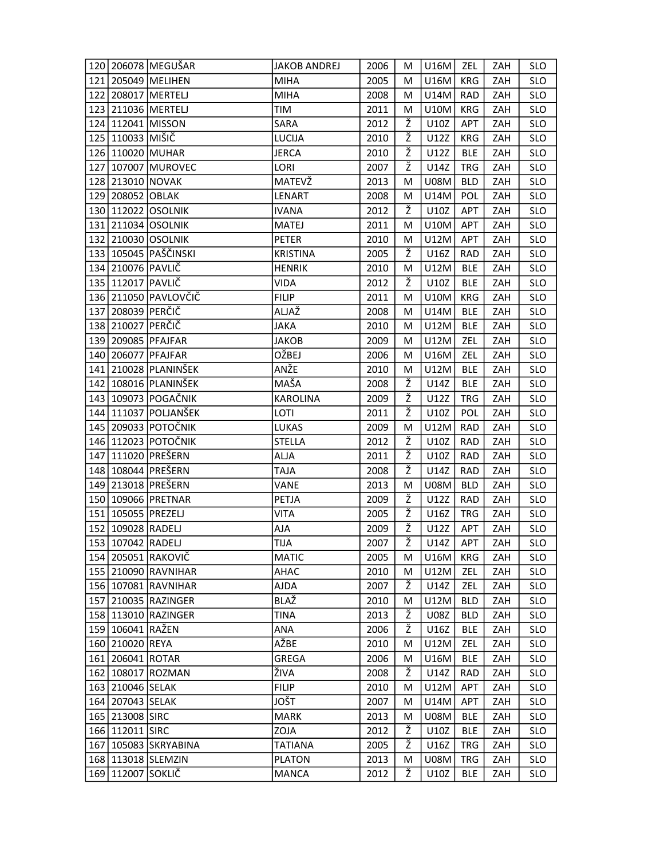|     |                     | 120 206078 MEGUŠAR       | <b>JAKOB ANDREJ</b> | 2006 | M | U16M        | ZEL        | ZAH | <b>SLO</b> |
|-----|---------------------|--------------------------|---------------------|------|---|-------------|------------|-----|------------|
|     |                     | 121 205049 MELIHEN       | <b>MIHA</b>         | 2005 | м | U16M        | KRG        | ZAH | <b>SLO</b> |
| 122 |                     | 208017 MERTELJ           | <b>MIHA</b>         | 2008 | M | U14M        | <b>RAD</b> | ZAH | <b>SLO</b> |
|     |                     | 123 211036 MERTELJ       | TIM                 | 2011 | М | U10M        | KRG        | ZAH | <b>SLO</b> |
|     | 124 112041 MISSON   |                          | SARA                | 2012 | ž | U10Z        | APT        | ZAH | <b>SLO</b> |
|     | 125 110033 MIŠIČ    |                          | LUCIJA              | 2010 | Ž | U12Z        | KRG        | ZAH | <b>SLO</b> |
|     | 126 110020 MUHAR    |                          | <b>JERCA</b>        | 2010 | ž | U12Z        | <b>BLE</b> | ZAH | <b>SLO</b> |
| 127 |                     | 107007 MUROVEC           | LORI                | 2007 | Ž | U14Z        | <b>TRG</b> | ZAH | <b>SLO</b> |
|     | 128 213010 NOVAK    |                          | MATEVŽ              | 2013 | м | <b>U08M</b> | <b>BLD</b> | ZAH | <b>SLO</b> |
|     | 129 208052 OBLAK    |                          | LENART              | 2008 | M | U14M        | <b>POL</b> | ZAH | <b>SLO</b> |
|     |                     | 130 112022 OSOLNIK       | <b>IVANA</b>        | 2012 | Ž | U10Z        | <b>APT</b> | ZAH | <b>SLO</b> |
|     |                     | 131 211034 OSOLNIK       | <b>MATEJ</b>        | 2011 | М | U10M        | APT        | ZAH | <b>SLO</b> |
|     |                     | 132 210030 OSOLNIK       | <b>PETER</b>        | 2010 | M | U12M        | APT        | ZAH | <b>SLO</b> |
|     |                     | 133 105045 PAŠČINSKI     | <b>KRISTINA</b>     | 2005 | Ž | U16Z        | <b>RAD</b> | ZAH | <b>SLO</b> |
|     | 134 210076 PAVLIČ   |                          | <b>HENRIK</b>       | 2010 | М | U12M        | <b>BLE</b> | ZAH | <b>SLO</b> |
|     | 135 112017 PAVLIČ   |                          | <b>VIDA</b>         | 2012 | ž | U10Z        | <b>BLE</b> | ZAH | <b>SLO</b> |
|     |                     | 136 211050 PAVLOVČIČ     | <b>FILIP</b>        | 2011 | M | <b>U10M</b> | KRG        | ZAH | <b>SLO</b> |
| 137 | 208039 PERČIČ       |                          | ALJAŽ               | 2008 | М | U14M        | <b>BLE</b> | ZAH | <b>SLO</b> |
|     | 138 210027 PERČIČ   |                          | <b>JAKA</b>         | 2010 | M | U12M        | <b>BLE</b> | ZAH | <b>SLO</b> |
|     |                     | 139 209085 PFAJFAR       | <b>JAKOB</b>        | 2009 | М | U12M        | ZEL        | ZAH | <b>SLO</b> |
|     |                     | 140 206077 PFAJFAR       | OŽBEJ               | 2006 | M | U16M        | ZEL        | ZAH | <b>SLO</b> |
|     |                     | 141   210028   PLANINŠEK | ANŽE                | 2010 | M | U12M        | <b>BLE</b> | ZAH | <b>SLO</b> |
|     |                     | 142   108016   PLANINŠEK | MAŠA                | 2008 | Ž | U14Z        | <b>BLE</b> | ZAH | <b>SLO</b> |
|     |                     | 143   109073   POGAČNIK  | <b>KAROLINA</b>     | 2009 | ž | U12Z        | <b>TRG</b> | ZAH | <b>SLO</b> |
|     |                     | 144 111037 POLJANŠEK     | LOTI                | 2011 | Ž | U10Z        | POL        | ZAH | <b>SLO</b> |
|     |                     | 145   209033   POTOČNIK  | <b>LUKAS</b>        | 2009 | M | U12M        | <b>RAD</b> | ZAH | <b>SLO</b> |
|     |                     | 146 112023 POTOČNIK      | <b>STELLA</b>       | 2012 | Ž | U10Z        | RAD        | ZAH | <b>SLO</b> |
| 147 |                     | 111020 PREŠERN           | ALJA                | 2011 | ž | U10Z        | <b>RAD</b> | ZAH | <b>SLO</b> |
|     |                     | 148 108044 PREŠERN       | <b>ALAT</b>         | 2008 | Ž | U14Z        | <b>RAD</b> | ZAH | <b>SLO</b> |
|     |                     | 149 213018 PREŠERN       | VANE                | 2013 | М | <b>U08M</b> | <b>BLD</b> | ZAH | <b>SLO</b> |
|     |                     | 150 109066 PRETNAR       | PETJA               | 2009 | Ž | U12Z        | RAD        | ZAH | <b>SLO</b> |
| 151 | 105055 PREZELJ      |                          | <b>VITA</b>         | 2005 | ž | U16Z        | <b>TRG</b> | ZAH | <b>SLO</b> |
|     | 152 109028 RADELJ   |                          | AJA                 | 2009 | Ž | U12Z        | APT        | ZAH | <b>SLO</b> |
|     | 153 107042 RADELJ   |                          | <b>TIJA</b>         | 2007 | ž | U14Z        | APT        | ZAH | <b>SLO</b> |
|     |                     | 154   205051   RAKOVIČ   | <b>MATIC</b>        | 2005 | M | U16M        | KRG        | ZAH | <b>SLO</b> |
|     |                     | 155 210090 RAVNIHAR      | AHAC                | 2010 | М | U12M        | ZEL        | ZAH | <b>SLO</b> |
|     |                     | 156 107081 RAVNIHAR      | <b>AJDA</b>         | 2007 | Ž | U14Z        | ZEL        | ZAH | <b>SLO</b> |
|     |                     | 157 210035 RAZINGER      | BLAŽ                | 2010 | М | U12M        | <b>BLD</b> | ZAH | <b>SLO</b> |
|     |                     | 158 113010 RAZINGER      | TINA                | 2013 | Ž | <b>U08Z</b> | <b>BLD</b> | ZAH | <b>SLO</b> |
|     | 159 106041 RAŽEN    |                          | ANA                 | 2006 | Ž | U16Z        | BLE        | ZAH | <b>SLO</b> |
|     | 160 210020 REYA     |                          | AŽBE                | 2010 | М | U12M        | <b>ZEL</b> | ZAH | <b>SLO</b> |
|     | 161 206041 ROTAR    |                          | GREGA               | 2006 | М | U16M        | <b>BLE</b> | ZAH | <b>SLO</b> |
|     |                     | 162   108017   ROZMAN    | ŽIVA                | 2008 | Ž | U14Z        | RAD        | ZAH | <b>SLO</b> |
|     | 163 210046 SELAK    |                          | <b>FILIP</b>        | 2010 | M | U12M        | APT        | ZAH | <b>SLO</b> |
|     | 164 207043 SELAK    |                          | <b>JOŠT</b>         | 2007 | M | U14M        | <b>APT</b> | ZAH | <b>SLO</b> |
|     | 165 213008 SIRC     |                          | <b>MARK</b>         | 2013 | М | <b>U08M</b> | <b>BLE</b> | ZAH | <b>SLO</b> |
|     | 166 112011 SIRC     |                          | ZOJA                | 2012 | ž | U10Z        | <b>BLE</b> | ZAH | <b>SLO</b> |
|     |                     | 167   105083   SKRYABINA | <b>TATIANA</b>      | 2005 | Ž | U16Z        | TRG.       | ZAH | <b>SLO</b> |
|     |                     | 168 113018 SLEMZIN       | <b>PLATON</b>       | 2013 | M | <b>U08M</b> | TRG        | ZAH | <b>SLO</b> |
|     | 169   112007 SOKLIČ |                          | <b>MANCA</b>        | 2012 | Ž | U10Z        | <b>BLE</b> | ZAH | <b>SLO</b> |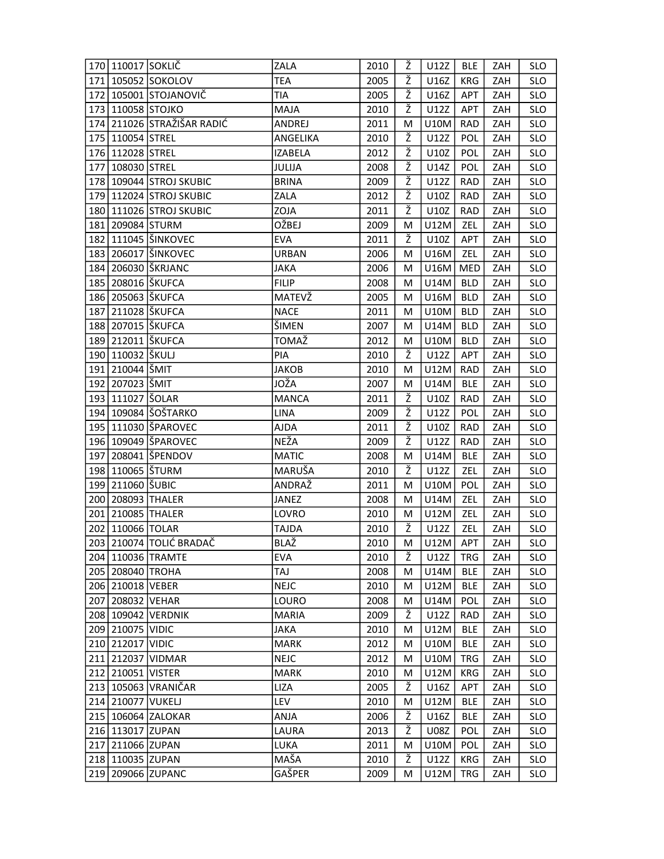|     | 170 110017 SOKLIČ     |                                | <b>ZALA</b>    | 2010 | Ž | U12Z        | <b>BLE</b> | ZAH | <b>SLO</b> |
|-----|-----------------------|--------------------------------|----------------|------|---|-------------|------------|-----|------------|
|     |                       | 171 105052 SOKOLOV             | <b>TEA</b>     | 2005 | Ž | U16Z        | KRG        | ZAH | <b>SLO</b> |
|     |                       | 172 105001 STOJANOVIČ          | TIA            | 2005 | Ž | U16Z        | APT        | ZAH | <b>SLO</b> |
|     | 173 110058 STOJKO     |                                | <b>MAJA</b>    | 2010 | Ž | U12Z        | APT        | ZAH | <b>SLO</b> |
|     |                       | 174   211026   STRAŽIŠAR RADIĆ | ANDREJ         | 2011 | M | <b>U10M</b> | <b>RAD</b> | ZAH | <b>SLO</b> |
|     | 175 110054 STREL      |                                | ANGELIKA       | 2010 | Ž | U12Z        | <b>POL</b> | ZAH | <b>SLO</b> |
|     | 176 112028 STREL      |                                | <b>IZABELA</b> | 2012 | ž | U10Z        | <b>POL</b> | ZAH | <b>SLO</b> |
| 177 | 108030   STREL        |                                | JULIJA         | 2008 | Ž | U14Z        | POL        | ZAH | <b>SLO</b> |
|     |                       | 178 109044 STROJ SKUBIC        | <b>BRINA</b>   | 2009 | ž | U12Z        | <b>RAD</b> | ZAH | <b>SLO</b> |
|     |                       | 179 112024 STROJ SKUBIC        | ZALA           | 2012 | Ž | U10Z        | <b>RAD</b> | ZAH | <b>SLO</b> |
|     |                       | 180 111026 STROJ SKUBIC        | ZOJA           | 2011 | Ž | U10Z        | <b>RAD</b> | ZAH | <b>SLO</b> |
|     | 181 209084 STURM      |                                | OŽBEJ          | 2009 | M | U12M        | ZEL        | ZAH | <b>SLO</b> |
|     |                       | 182 111045 ŠINKOVEC            | EVA            | 2011 | Ž | U10Z        | APT        | ZAH | <b>SLO</b> |
|     |                       | 183   206017   ŠINKOVEC        | <b>URBAN</b>   | 2006 | М | U16M        | ZEL        | ZAH | <b>SLO</b> |
|     |                       | 184   206030   ŠKRJANC         | JAKA           | 2006 | M | U16M        | <b>MED</b> | ZAH | <b>SLO</b> |
|     | 185   208016   ŠKUFCA |                                | <b>FILIP</b>   | 2008 | M | U14M        | <b>BLD</b> | ZAH | <b>SLO</b> |
|     | 186 205063 ŠKUFCA     |                                | MATEVŽ         | 2005 | M | U16M        | <b>BLD</b> | ZAH | <b>SLO</b> |
| 187 | 211028 ŠKUFCA         |                                | <b>NACE</b>    | 2011 | М | U10M        | <b>BLD</b> | ZAH | <b>SLO</b> |
|     | 188 207015 ŠKUFCA     |                                | ŠIMEN          | 2007 | М | U14M        | <b>BLD</b> | ZAH | <b>SLO</b> |
|     | 189 212011 ŠKUFCA     |                                | TOMAŽ          | 2012 | M | U10M        | <b>BLD</b> | ZAH | <b>SLO</b> |
|     | 190 110032 ŠKULJ      |                                | PIA            | 2010 | Ž | U12Z        | APT        | ZAH | <b>SLO</b> |
|     | 191 210044 ŠMIT       |                                | <b>JAKOB</b>   | 2010 | м | U12M        | <b>RAD</b> | ZAH | <b>SLO</b> |
|     | 192 207023 ŠMIT       |                                | JOŽA           | 2007 | м | U14M        | <b>BLE</b> | ZAH | <b>SLO</b> |
|     | 193 111027   ŠOLAR    |                                | <b>MANCA</b>   | 2011 | ž | U10Z        | <b>RAD</b> | ZAH | <b>SLO</b> |
|     |                       | 194   109084   ŠOŠTARKO        | <b>LINA</b>    | 2009 | Ž | U12Z        | POL        | ZAH | <b>SLO</b> |
|     |                       | 195   111030   ŠPAROVEC        | AJDA           | 2011 | ž | U10Z        | <b>RAD</b> | ZAH | <b>SLO</b> |
|     |                       | 196 109049 ŠPAROVEC            | NEŽA           | 2009 | Ž | U12Z        | <b>RAD</b> | ZAH | <b>SLO</b> |
|     |                       | 197 208041 ŠPENDOV             | <b>MATIC</b>   | 2008 | М | U14M        | <b>BLE</b> | ZAH | <b>SLO</b> |
|     | 198 110065   ŠTURM    |                                | MARUŠA         | 2010 | Ž | U12Z        | ZEL        | ZAH | <b>SLO</b> |
|     | 199 211060 ŠUBIC      |                                | ANDRAŽ         | 2011 | M | U10M        | POL        | ZAH | <b>SLO</b> |
|     | 200 208093 THALER     |                                | JANEZ          | 2008 | М | U14M        | ZEL        | ZAH | <b>SLO</b> |
|     | 201 210085 THALER     |                                | LOVRO          | 2010 | М | U12M        | ZEL        | ZAH | <b>SLO</b> |
|     | 202 110066 TOLAR      |                                | TAJDA          | 2010 | Ž | U12Z        | ZEL        | ZAH | <b>SLO</b> |
|     |                       | 203 210074 TOLIĆ BRADAČ        | <b>BLAŽ</b>    | 2010 | M | U12M        | APT        | ZAH | SIO        |
|     |                       | 204   110036   TRAMTE          | <b>EVA</b>     | 2010 | Ž | U12Z        | TRG        | ZAH | <b>SLO</b> |
|     | 205 208040 TROHA      |                                | TAJ            | 2008 | M | U14M        | BLE        | ZAH | <b>SLO</b> |
|     | 206 210018 VEBER      |                                | <b>NEJC</b>    | 2010 | M | U12M        | <b>BLE</b> | ZAH | <b>SLO</b> |
|     | 207 208032 VEHAR      |                                | LOURO          | 2008 | М | U14M        | <b>POL</b> | ZAH | <b>SLO</b> |
|     |                       | 208 109042 VERDNIK             | <b>MARIA</b>   | 2009 | Ž | U12Z        | <b>RAD</b> | ZAH | <b>SLO</b> |
|     | 209 210075 VIDIC      |                                | <b>JAKA</b>    | 2010 | М | U12M        | <b>BLE</b> | ZAH | <b>SLO</b> |
|     | 210 212017 VIDIC      |                                | <b>MARK</b>    | 2012 | M | U10M        | <b>BLE</b> | ZAH | <b>SLO</b> |
|     |                       | 211 212037 VIDMAR              | <b>NEJC</b>    | 2012 | M | <b>U10M</b> | <b>TRG</b> | ZAH | <b>SLO</b> |
|     | 212 210051 VISTER     |                                | <b>MARK</b>    | 2010 | M | U12M        | KRG        | ZAH | <b>SLO</b> |
|     |                       | 213 105063 VRANIČAR            | LIZA           | 2005 | Ž | U16Z        | APT        | ZAH | <b>SLO</b> |
|     | 214 210077 VUKELJ     |                                | <b>LEV</b>     | 2010 | M | U12M        | <b>BLE</b> | ZAH | <b>SLO</b> |
|     |                       | 215   106064   ZALOKAR         | ANJA           | 2006 | Ž | U16Z        | <b>BLE</b> | ZAH | <b>SLO</b> |
|     | 216 113017 ZUPAN      |                                | LAURA          | 2013 | Ž | <b>U08Z</b> | <b>POL</b> | ZAH | <b>SLO</b> |
|     | 217 211066 ZUPAN      |                                | <b>LUKA</b>    | 2011 | M | U10M        | <b>POL</b> | ZAH | <b>SLO</b> |
|     | 218 110035 ZUPAN      |                                | MAŠA           | 2010 | ž | U12Z        | KRG        | ZAH | <b>SLO</b> |
|     |                       | 219 209066 ZUPANC              | GAŠPER         | 2009 | M | U12M        | TRG        | ZAH | <b>SLO</b> |